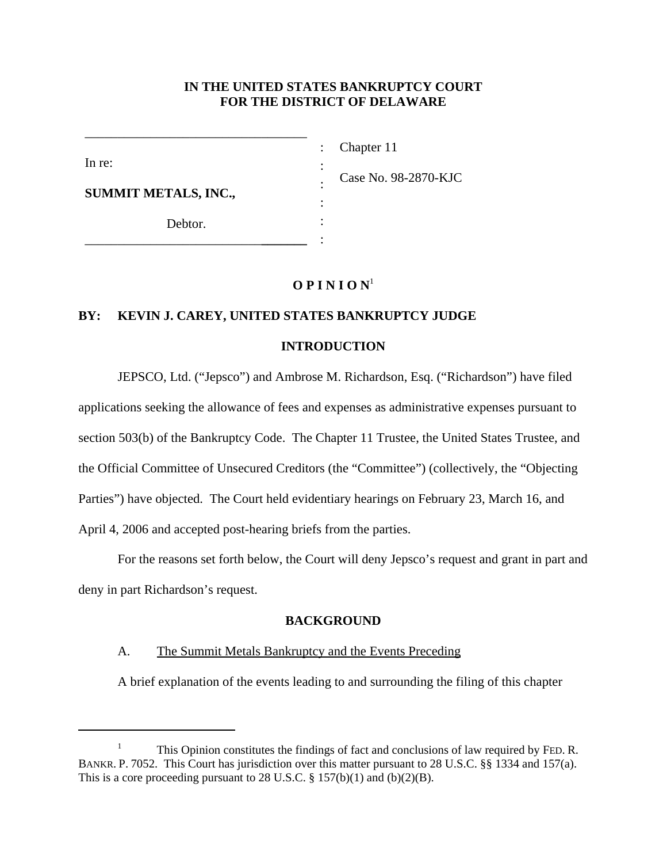## **IN THE UNITED STATES BANKRUPTCY COURT FOR THE DISTRICT OF DELAWARE**

: : : : : :

In re:

Chapter 11

Case No. 98-2870-KJC

**SUMMIT METALS, INC.,**

Debtor.

\_\_\_\_\_\_\_\_\_\_\_\_\_\_\_\_\_\_\_\_\_\_\_\_\_\_\_**\_\_\_\_\_\_\_**

\_\_\_\_\_\_\_\_\_\_\_\_\_\_\_\_\_\_\_\_\_\_\_\_\_\_\_\_\_\_\_\_\_\_

## $O$  **P I N I O N**<sup>1</sup>

# **BY: KEVIN J. CAREY, UNITED STATES BANKRUPTCY JUDGE**

## **INTRODUCTION**

JEPSCO, Ltd. ("Jepsco") and Ambrose M. Richardson, Esq. ("Richardson") have filed applications seeking the allowance of fees and expenses as administrative expenses pursuant to section 503(b) of the Bankruptcy Code. The Chapter 11 Trustee, the United States Trustee, and the Official Committee of Unsecured Creditors (the "Committee") (collectively, the "Objecting Parties") have objected. The Court held evidentiary hearings on February 23, March 16, and April 4, 2006 and accepted post-hearing briefs from the parties.

For the reasons set forth below, the Court will deny Jepsco's request and grant in part and deny in part Richardson's request.

## **BACKGROUND**

## A. The Summit Metals Bankruptcy and the Events Preceding

A brief explanation of the events leading to and surrounding the filing of this chapter

<sup>&</sup>lt;sup>1</sup> This Opinion constitutes the findings of fact and conclusions of law required by FED. R. BANKR. P. 7052. This Court has jurisdiction over this matter pursuant to 28 U.S.C. §§ 1334 and 157(a). This is a core proceeding pursuant to 28 U.S.C.  $\S 157(b)(1)$  and  $(b)(2)(B)$ .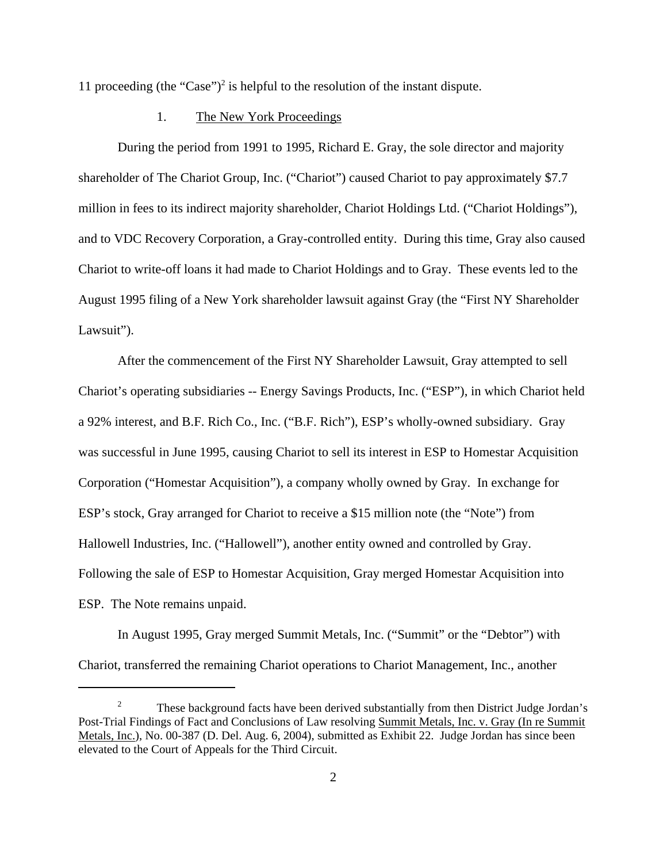11 proceeding (the "Case")<sup>2</sup> is helpful to the resolution of the instant dispute.

#### 1. The New York Proceedings

During the period from 1991 to 1995, Richard E. Gray, the sole director and majority shareholder of The Chariot Group, Inc. ("Chariot") caused Chariot to pay approximately \$7.7 million in fees to its indirect majority shareholder, Chariot Holdings Ltd. ("Chariot Holdings"), and to VDC Recovery Corporation, a Gray-controlled entity. During this time, Gray also caused Chariot to write-off loans it had made to Chariot Holdings and to Gray. These events led to the August 1995 filing of a New York shareholder lawsuit against Gray (the "First NY Shareholder Lawsuit").

After the commencement of the First NY Shareholder Lawsuit, Gray attempted to sell Chariot's operating subsidiaries -- Energy Savings Products, Inc. ("ESP"), in which Chariot held a 92% interest, and B.F. Rich Co., Inc. ("B.F. Rich"), ESP's wholly-owned subsidiary. Gray was successful in June 1995, causing Chariot to sell its interest in ESP to Homestar Acquisition Corporation ("Homestar Acquisition"), a company wholly owned by Gray. In exchange for ESP's stock, Gray arranged for Chariot to receive a \$15 million note (the "Note") from Hallowell Industries, Inc. ("Hallowell"), another entity owned and controlled by Gray. Following the sale of ESP to Homestar Acquisition, Gray merged Homestar Acquisition into ESP. The Note remains unpaid.

In August 1995, Gray merged Summit Metals, Inc. ("Summit" or the "Debtor") with Chariot, transferred the remaining Chariot operations to Chariot Management, Inc., another

<sup>&</sup>lt;sup>2</sup> These background facts have been derived substantially from then District Judge Jordan's Post-Trial Findings of Fact and Conclusions of Law resolving Summit Metals, Inc. v. Gray (In re Summit Metals, Inc.), No. 00-387 (D. Del. Aug. 6, 2004), submitted as Exhibit 22. Judge Jordan has since been elevated to the Court of Appeals for the Third Circuit.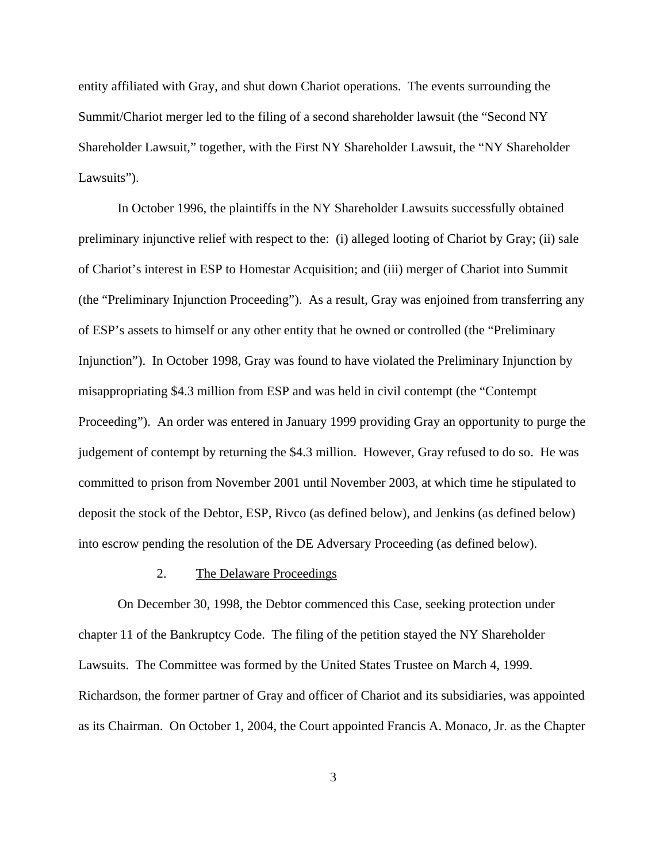entity affiliated with Gray, and shut down Chariot operations. The events surrounding the Summit/Chariot merger led to the filing of a second shareholder lawsuit (the "Second NY Shareholder Lawsuit," together, with the First NY Shareholder Lawsuit, the "NY Shareholder Lawsuits").

In October 1996, the plaintiffs in the NY Shareholder Lawsuits successfully obtained preliminary injunctive relief with respect to the: (i) alleged looting of Chariot by Gray; (ii) sale of Chariot's interest in ESP to Homestar Acquisition; and (iii) merger of Chariot into Summit (the "Preliminary Injunction Proceeding"). As a result, Gray was enjoined from transferring any of ESP's assets to himself or any other entity that he owned or controlled (the "Preliminary Injunction"). In October 1998, Gray was found to have violated the Preliminary Injunction by misappropriating \$4.3 million from ESP and was held in civil contempt (the "Contempt Proceeding"). An order was entered in January 1999 providing Gray an opportunity to purge the judgement of contempt by returning the \$4.3 million. However, Gray refused to do so. He was committed to prison from November 2001 until November 2003, at which time he stipulated to deposit the stock of the Debtor, ESP, Rivco (as defined below), and Jenkins (as defined below) into escrow pending the resolution of the DE Adversary Proceeding (as defined below).

#### 2. The Delaware Proceedings

On December 30, 1998, the Debtor commenced this Case, seeking protection under chapter 11 of the Bankruptcy Code. The filing of the petition stayed the NY Shareholder Lawsuits. The Committee was formed by the United States Trustee on March 4, 1999. Richardson, the former partner of Gray and officer of Chariot and its subsidiaries, was appointed as its Chairman. On October 1, 2004, the Court appointed Francis A. Monaco, Jr. as the Chapter

3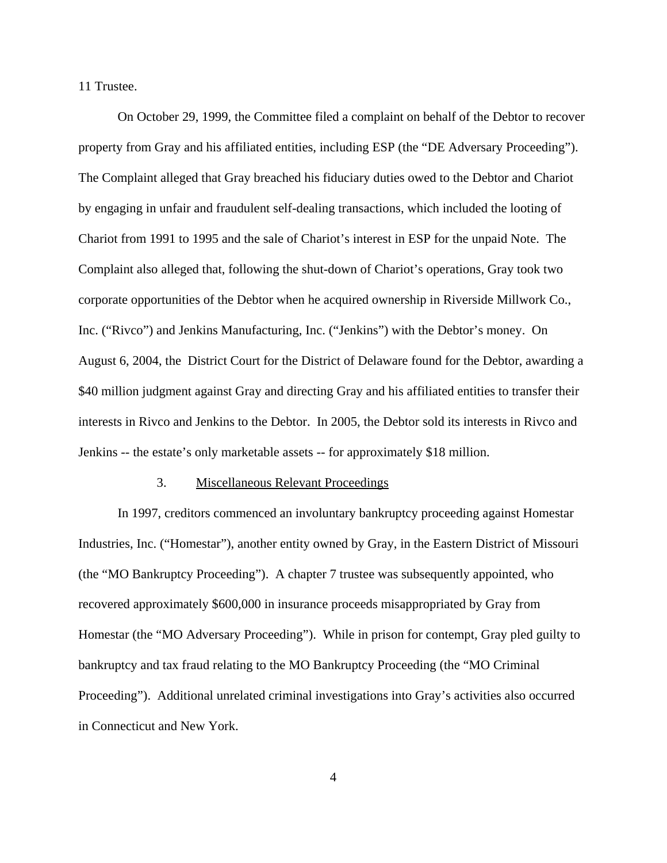11 Trustee.

On October 29, 1999, the Committee filed a complaint on behalf of the Debtor to recover property from Gray and his affiliated entities, including ESP (the "DE Adversary Proceeding"). The Complaint alleged that Gray breached his fiduciary duties owed to the Debtor and Chariot by engaging in unfair and fraudulent self-dealing transactions, which included the looting of Chariot from 1991 to 1995 and the sale of Chariot's interest in ESP for the unpaid Note. The Complaint also alleged that, following the shut-down of Chariot's operations, Gray took two corporate opportunities of the Debtor when he acquired ownership in Riverside Millwork Co., Inc. ("Rivco") and Jenkins Manufacturing, Inc. ("Jenkins") with the Debtor's money. On August 6, 2004, the District Court for the District of Delaware found for the Debtor, awarding a \$40 million judgment against Gray and directing Gray and his affiliated entities to transfer their interests in Rivco and Jenkins to the Debtor. In 2005, the Debtor sold its interests in Rivco and Jenkins -- the estate's only marketable assets -- for approximately \$18 million.

#### 3. Miscellaneous Relevant Proceedings

In 1997, creditors commenced an involuntary bankruptcy proceeding against Homestar Industries, Inc. ("Homestar"), another entity owned by Gray, in the Eastern District of Missouri (the "MO Bankruptcy Proceeding"). A chapter 7 trustee was subsequently appointed, who recovered approximately \$600,000 in insurance proceeds misappropriated by Gray from Homestar (the "MO Adversary Proceeding"). While in prison for contempt, Gray pled guilty to bankruptcy and tax fraud relating to the MO Bankruptcy Proceeding (the "MO Criminal Proceeding"). Additional unrelated criminal investigations into Gray's activities also occurred in Connecticut and New York.

4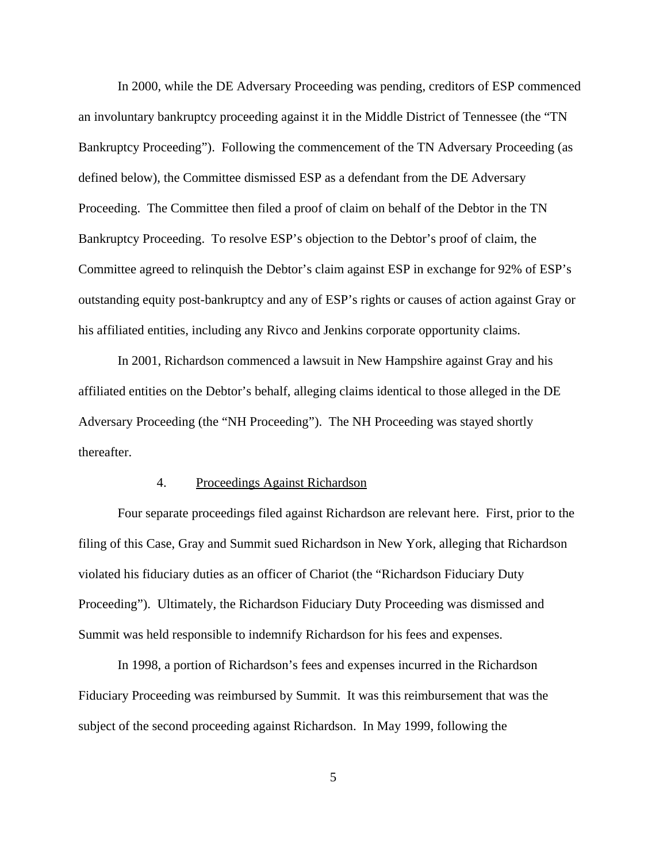In 2000, while the DE Adversary Proceeding was pending, creditors of ESP commenced an involuntary bankruptcy proceeding against it in the Middle District of Tennessee (the "TN Bankruptcy Proceeding"). Following the commencement of the TN Adversary Proceeding (as defined below), the Committee dismissed ESP as a defendant from the DE Adversary Proceeding. The Committee then filed a proof of claim on behalf of the Debtor in the TN Bankruptcy Proceeding. To resolve ESP's objection to the Debtor's proof of claim, the Committee agreed to relinquish the Debtor's claim against ESP in exchange for 92% of ESP's outstanding equity post-bankruptcy and any of ESP's rights or causes of action against Gray or his affiliated entities, including any Rivco and Jenkins corporate opportunity claims.

In 2001, Richardson commenced a lawsuit in New Hampshire against Gray and his affiliated entities on the Debtor's behalf, alleging claims identical to those alleged in the DE Adversary Proceeding (the "NH Proceeding"). The NH Proceeding was stayed shortly thereafter.

#### 4. Proceedings Against Richardson

Four separate proceedings filed against Richardson are relevant here. First, prior to the filing of this Case, Gray and Summit sued Richardson in New York, alleging that Richardson violated his fiduciary duties as an officer of Chariot (the "Richardson Fiduciary Duty Proceeding"). Ultimately, the Richardson Fiduciary Duty Proceeding was dismissed and Summit was held responsible to indemnify Richardson for his fees and expenses.

In 1998, a portion of Richardson's fees and expenses incurred in the Richardson Fiduciary Proceeding was reimbursed by Summit. It was this reimbursement that was the subject of the second proceeding against Richardson. In May 1999, following the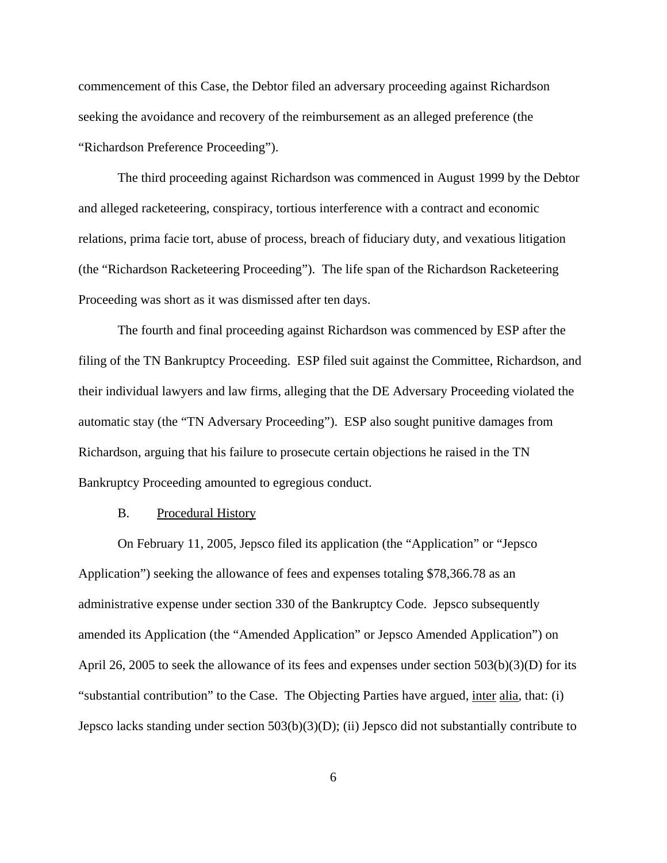commencement of this Case, the Debtor filed an adversary proceeding against Richardson seeking the avoidance and recovery of the reimbursement as an alleged preference (the "Richardson Preference Proceeding").

The third proceeding against Richardson was commenced in August 1999 by the Debtor and alleged racketeering, conspiracy, tortious interference with a contract and economic relations, prima facie tort, abuse of process, breach of fiduciary duty, and vexatious litigation (the "Richardson Racketeering Proceeding"). The life span of the Richardson Racketeering Proceeding was short as it was dismissed after ten days.

The fourth and final proceeding against Richardson was commenced by ESP after the filing of the TN Bankruptcy Proceeding. ESP filed suit against the Committee, Richardson, and their individual lawyers and law firms, alleging that the DE Adversary Proceeding violated the automatic stay (the "TN Adversary Proceeding"). ESP also sought punitive damages from Richardson, arguing that his failure to prosecute certain objections he raised in the TN Bankruptcy Proceeding amounted to egregious conduct.

#### B. Procedural History

On February 11, 2005, Jepsco filed its application (the "Application" or "Jepsco Application") seeking the allowance of fees and expenses totaling \$78,366.78 as an administrative expense under section 330 of the Bankruptcy Code. Jepsco subsequently amended its Application (the "Amended Application" or Jepsco Amended Application") on April 26, 2005 to seek the allowance of its fees and expenses under section 503(b)(3)(D) for its "substantial contribution" to the Case. The Objecting Parties have argued, inter alia, that: (i) Jepsco lacks standing under section 503(b)(3)(D); (ii) Jepsco did not substantially contribute to

6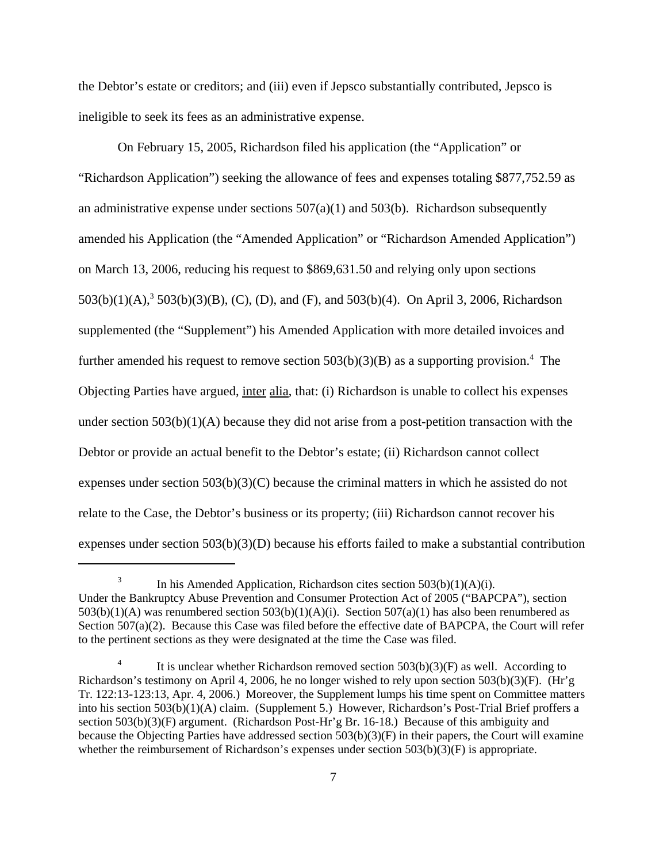the Debtor's estate or creditors; and (iii) even if Jepsco substantially contributed, Jepsco is ineligible to seek its fees as an administrative expense.

On February 15, 2005, Richardson filed his application (the "Application" or "Richardson Application") seeking the allowance of fees and expenses totaling \$877,752.59 as an administrative expense under sections  $507(a)(1)$  and  $503(b)$ . Richardson subsequently amended his Application (the "Amended Application" or "Richardson Amended Application") on March 13, 2006, reducing his request to \$869,631.50 and relying only upon sections  $503(b)(1)(A)$ ,  $3503(b)(3)(B)$ , (C), (D), and (F), and  $503(b)(4)$ . On April 3, 2006, Richardson supplemented (the "Supplement") his Amended Application with more detailed invoices and further amended his request to remove section  $503(b)(3)(B)$  as a supporting provision.<sup>4</sup> The Objecting Parties have argued, inter alia, that: (i) Richardson is unable to collect his expenses under section  $503(b)(1)(A)$  because they did not arise from a post-petition transaction with the Debtor or provide an actual benefit to the Debtor's estate; (ii) Richardson cannot collect expenses under section  $503(b)(3)(C)$  because the criminal matters in which he assisted do not relate to the Case, the Debtor's business or its property; (iii) Richardson cannot recover his expenses under section  $503(b)(3)(D)$  because his efforts failed to make a substantial contribution

<sup>&</sup>lt;sup>3</sup> In his Amended Application, Richardson cites section  $503(b)(1)(A)(i)$ . Under the Bankruptcy Abuse Prevention and Consumer Protection Act of 2005 ("BAPCPA"), section  $503(b)(1)(A)$  was renumbered section  $503(b)(1)(A)(i)$ . Section  $507(a)(1)$  has also been renumbered as Section 507(a)(2). Because this Case was filed before the effective date of BAPCPA, the Court will refer to the pertinent sections as they were designated at the time the Case was filed.

It is unclear whether Richardson removed section  $503(b)(3)(F)$  as well. According to Richardson's testimony on April 4, 2006, he no longer wished to rely upon section 503(b)(3)(F). (Hr'g Tr. 122:13-123:13, Apr. 4, 2006.) Moreover, the Supplement lumps his time spent on Committee matters into his section 503(b)(1)(A) claim. (Supplement 5.) However, Richardson's Post-Trial Brief proffers a section 503(b)(3)(F) argument. (Richardson Post-Hr'g Br. 16-18.) Because of this ambiguity and because the Objecting Parties have addressed section  $503(b)(3)(F)$  in their papers, the Court will examine whether the reimbursement of Richardson's expenses under section  $503(b)(3)(F)$  is appropriate.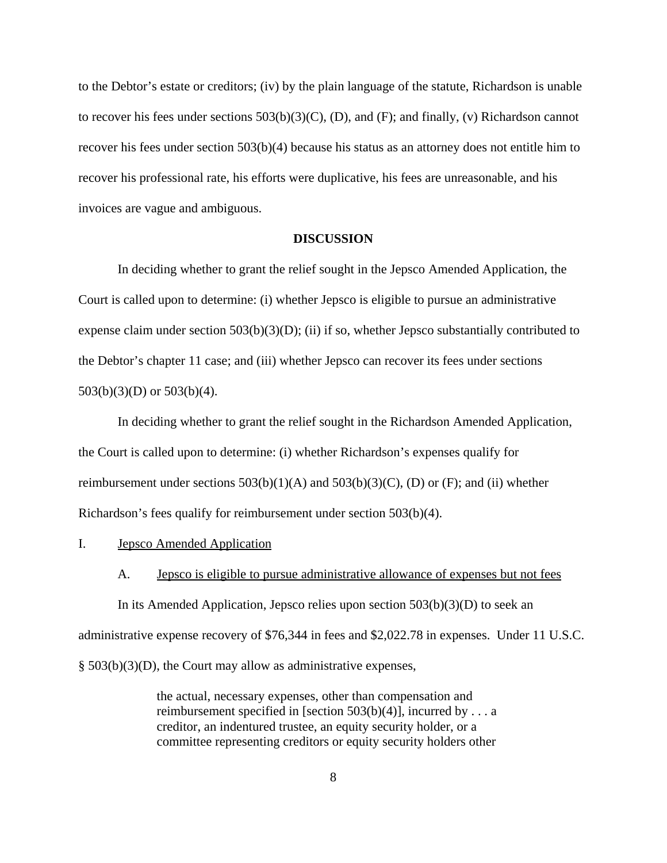to the Debtor's estate or creditors; (iv) by the plain language of the statute, Richardson is unable to recover his fees under sections 503(b)(3)(C), (D), and (F); and finally, (v) Richardson cannot recover his fees under section 503(b)(4) because his status as an attorney does not entitle him to recover his professional rate, his efforts were duplicative, his fees are unreasonable, and his invoices are vague and ambiguous.

#### **DISCUSSION**

In deciding whether to grant the relief sought in the Jepsco Amended Application, the Court is called upon to determine: (i) whether Jepsco is eligible to pursue an administrative expense claim under section  $503(b)(3)(D)$ ; (ii) if so, whether Jepsco substantially contributed to the Debtor's chapter 11 case; and (iii) whether Jepsco can recover its fees under sections 503(b)(3)(D) or 503(b)(4).

In deciding whether to grant the relief sought in the Richardson Amended Application, the Court is called upon to determine: (i) whether Richardson's expenses qualify for reimbursement under sections  $503(b)(1)(A)$  and  $503(b)(3)(C)$ , (D) or (F); and (ii) whether Richardson's fees qualify for reimbursement under section 503(b)(4).

I. Jepsco Amended Application

#### A. **Jepsco is eligible to pursue administrative allowance of expenses but not fees**

In its Amended Application, Jepsco relies upon section  $503(b)(3)(D)$  to seek an administrative expense recovery of \$76,344 in fees and \$2,022.78 in expenses. Under 11 U.S.C. § 503(b)(3)(D), the Court may allow as administrative expenses,

> the actual, necessary expenses, other than compensation and reimbursement specified in [section 503(b)(4)], incurred by . . . a creditor, an indentured trustee, an equity security holder, or a committee representing creditors or equity security holders other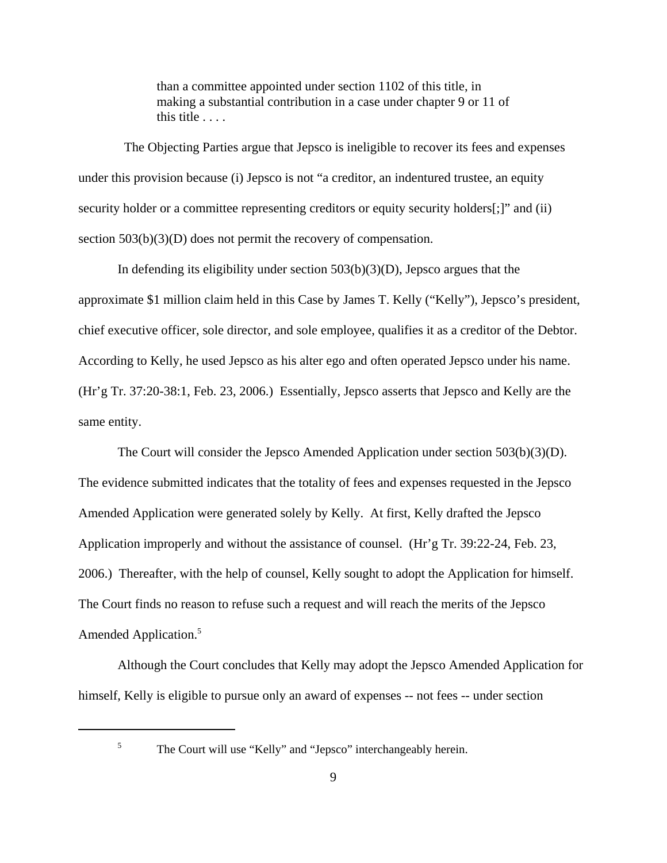than a committee appointed under section 1102 of this title, in making a substantial contribution in a case under chapter 9 or 11 of this title . . . .

 The Objecting Parties argue that Jepsco is ineligible to recover its fees and expenses under this provision because (i) Jepsco is not "a creditor, an indentured trustee, an equity security holder or a committee representing creditors or equity security holders[;]" and (ii) section 503(b)(3)(D) does not permit the recovery of compensation.

In defending its eligibility under section  $503(b)(3)(D)$ , Jepsco argues that the approximate \$1 million claim held in this Case by James T. Kelly ("Kelly"), Jepsco's president, chief executive officer, sole director, and sole employee, qualifies it as a creditor of the Debtor. According to Kelly, he used Jepsco as his alter ego and often operated Jepsco under his name. (Hr'g Tr. 37:20-38:1, Feb. 23, 2006.) Essentially, Jepsco asserts that Jepsco and Kelly are the same entity.

The Court will consider the Jepsco Amended Application under section 503(b)(3)(D). The evidence submitted indicates that the totality of fees and expenses requested in the Jepsco Amended Application were generated solely by Kelly. At first, Kelly drafted the Jepsco Application improperly and without the assistance of counsel. (Hr'g Tr. 39:22-24, Feb. 23, 2006.) Thereafter, with the help of counsel, Kelly sought to adopt the Application for himself. The Court finds no reason to refuse such a request and will reach the merits of the Jepsco Amended Application.<sup>5</sup>

Although the Court concludes that Kelly may adopt the Jepsco Amended Application for himself, Kelly is eligible to pursue only an award of expenses -- not fees -- under section

<sup>&</sup>lt;sup>5</sup> The Court will use "Kelly" and "Jepsco" interchangeably herein.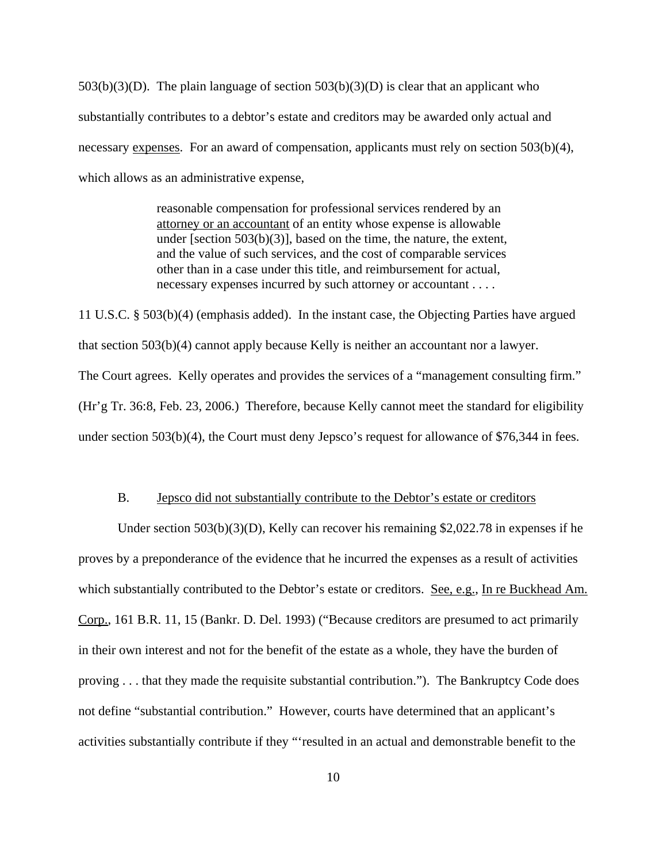$503(b)(3)(D)$ . The plain language of section  $503(b)(3)(D)$  is clear that an applicant who substantially contributes to a debtor's estate and creditors may be awarded only actual and necessary expenses. For an award of compensation, applicants must rely on section 503(b)(4), which allows as an administrative expense,

> reasonable compensation for professional services rendered by an attorney or an accountant of an entity whose expense is allowable under [section 503(b)(3)], based on the time, the nature, the extent, and the value of such services, and the cost of comparable services other than in a case under this title, and reimbursement for actual, necessary expenses incurred by such attorney or accountant . . . .

11 U.S.C. § 503(b)(4) (emphasis added). In the instant case, the Objecting Parties have argued that section 503(b)(4) cannot apply because Kelly is neither an accountant nor a lawyer. The Court agrees. Kelly operates and provides the services of a "management consulting firm." (Hr'g Tr. 36:8, Feb. 23, 2006.) Therefore, because Kelly cannot meet the standard for eligibility under section 503(b)(4), the Court must deny Jepsco's request for allowance of \$76,344 in fees.

#### B. Jepsco did not substantially contribute to the Debtor's estate or creditors

Under section  $503(b)(3)(D)$ , Kelly can recover his remaining \$2,022.78 in expenses if he proves by a preponderance of the evidence that he incurred the expenses as a result of activities which substantially contributed to the Debtor's estate or creditors. See, e.g., In re Buckhead Am. Corp., 161 B.R. 11, 15 (Bankr. D. Del. 1993) ("Because creditors are presumed to act primarily in their own interest and not for the benefit of the estate as a whole, they have the burden of proving . . . that they made the requisite substantial contribution."). The Bankruptcy Code does not define "substantial contribution." However, courts have determined that an applicant's activities substantially contribute if they "'resulted in an actual and demonstrable benefit to the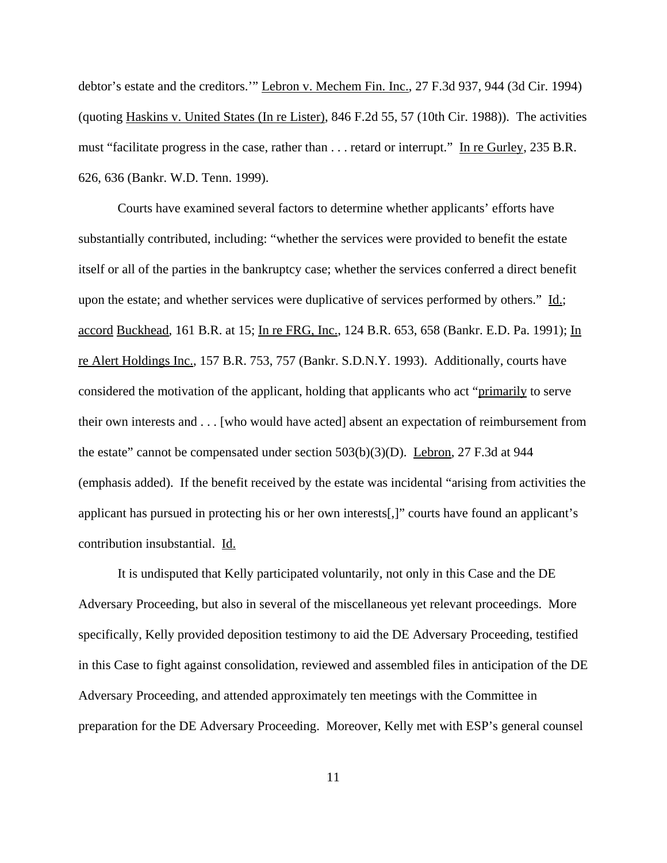debtor's estate and the creditors.'" Lebron v. Mechem Fin. Inc., 27 F.3d 937, 944 (3d Cir. 1994) (quoting Haskins v. United States (In re Lister), 846 F.2d 55, 57 (10th Cir. 1988)). The activities must "facilitate progress in the case, rather than . . . retard or interrupt." In re Gurley, 235 B.R. 626, 636 (Bankr. W.D. Tenn. 1999).

Courts have examined several factors to determine whether applicants' efforts have substantially contributed, including: "whether the services were provided to benefit the estate itself or all of the parties in the bankruptcy case; whether the services conferred a direct benefit upon the estate; and whether services were duplicative of services performed by others." Id.; accord Buckhead, 161 B.R. at 15; In re FRG, Inc., 124 B.R. 653, 658 (Bankr. E.D. Pa. 1991); In re Alert Holdings Inc., 157 B.R. 753, 757 (Bankr. S.D.N.Y. 1993). Additionally, courts have considered the motivation of the applicant, holding that applicants who act "primarily to serve their own interests and . . . [who would have acted] absent an expectation of reimbursement from the estate" cannot be compensated under section 503(b)(3)(D). Lebron, 27 F.3d at 944 (emphasis added). If the benefit received by the estate was incidental "arising from activities the applicant has pursued in protecting his or her own interests[,]" courts have found an applicant's contribution insubstantial. Id.

It is undisputed that Kelly participated voluntarily, not only in this Case and the DE Adversary Proceeding, but also in several of the miscellaneous yet relevant proceedings. More specifically, Kelly provided deposition testimony to aid the DE Adversary Proceeding, testified in this Case to fight against consolidation, reviewed and assembled files in anticipation of the DE Adversary Proceeding, and attended approximately ten meetings with the Committee in preparation for the DE Adversary Proceeding. Moreover, Kelly met with ESP's general counsel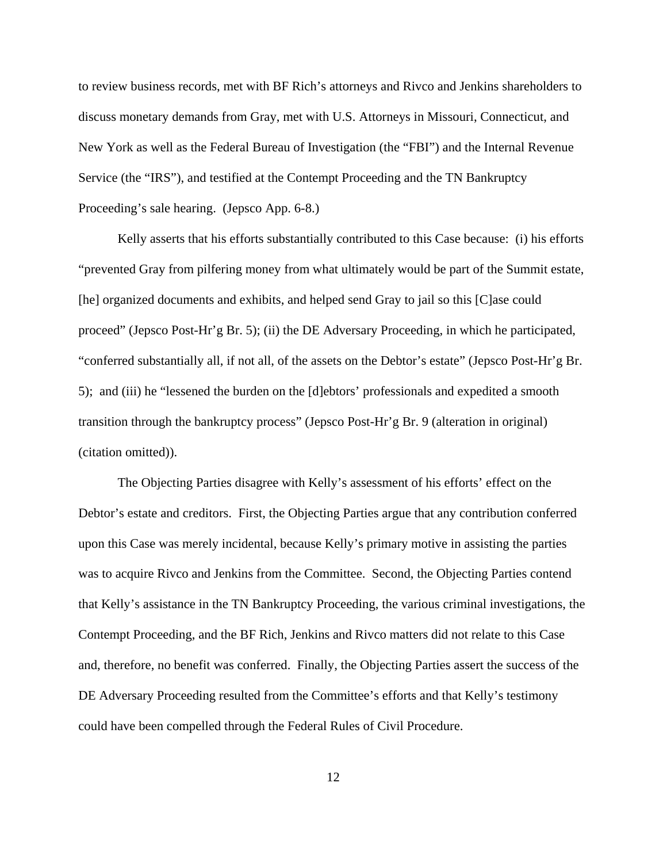to review business records, met with BF Rich's attorneys and Rivco and Jenkins shareholders to discuss monetary demands from Gray, met with U.S. Attorneys in Missouri, Connecticut, and New York as well as the Federal Bureau of Investigation (the "FBI") and the Internal Revenue Service (the "IRS"), and testified at the Contempt Proceeding and the TN Bankruptcy Proceeding's sale hearing. (Jepsco App. 6-8.)

Kelly asserts that his efforts substantially contributed to this Case because: (i) his efforts "prevented Gray from pilfering money from what ultimately would be part of the Summit estate, [he] organized documents and exhibits, and helped send Gray to jail so this [C]ase could proceed" (Jepsco Post-Hr'g Br. 5); (ii) the DE Adversary Proceeding, in which he participated, "conferred substantially all, if not all, of the assets on the Debtor's estate" (Jepsco Post-Hr'g Br. 5); and (iii) he "lessened the burden on the [d]ebtors' professionals and expedited a smooth transition through the bankruptcy process" (Jepsco Post-Hr'g Br. 9 (alteration in original) (citation omitted)).

The Objecting Parties disagree with Kelly's assessment of his efforts' effect on the Debtor's estate and creditors. First, the Objecting Parties argue that any contribution conferred upon this Case was merely incidental, because Kelly's primary motive in assisting the parties was to acquire Rivco and Jenkins from the Committee. Second, the Objecting Parties contend that Kelly's assistance in the TN Bankruptcy Proceeding, the various criminal investigations, the Contempt Proceeding, and the BF Rich, Jenkins and Rivco matters did not relate to this Case and, therefore, no benefit was conferred. Finally, the Objecting Parties assert the success of the DE Adversary Proceeding resulted from the Committee's efforts and that Kelly's testimony could have been compelled through the Federal Rules of Civil Procedure.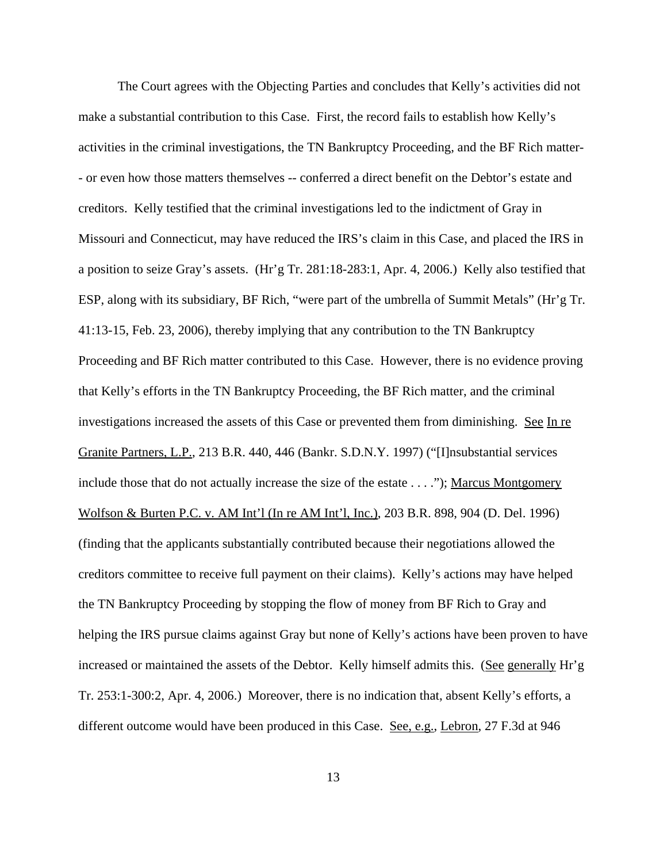The Court agrees with the Objecting Parties and concludes that Kelly's activities did not make a substantial contribution to this Case. First, the record fails to establish how Kelly's activities in the criminal investigations, the TN Bankruptcy Proceeding, and the BF Rich matter- - or even how those matters themselves -- conferred a direct benefit on the Debtor's estate and creditors. Kelly testified that the criminal investigations led to the indictment of Gray in Missouri and Connecticut, may have reduced the IRS's claim in this Case, and placed the IRS in a position to seize Gray's assets. (Hr'g Tr. 281:18-283:1, Apr. 4, 2006.) Kelly also testified that ESP, along with its subsidiary, BF Rich, "were part of the umbrella of Summit Metals" (Hr'g Tr. 41:13-15, Feb. 23, 2006), thereby implying that any contribution to the TN Bankruptcy Proceeding and BF Rich matter contributed to this Case. However, there is no evidence proving that Kelly's efforts in the TN Bankruptcy Proceeding, the BF Rich matter, and the criminal investigations increased the assets of this Case or prevented them from diminishing. See In re Granite Partners, L.P., 213 B.R. 440, 446 (Bankr. S.D.N.Y. 1997) ("[I]nsubstantial services include those that do not actually increase the size of the estate . . . ."); Marcus Montgomery Wolfson & Burten P.C. v. AM Int'l (In re AM Int'l, Inc.), 203 B.R. 898, 904 (D. Del. 1996) (finding that the applicants substantially contributed because their negotiations allowed the creditors committee to receive full payment on their claims). Kelly's actions may have helped the TN Bankruptcy Proceeding by stopping the flow of money from BF Rich to Gray and helping the IRS pursue claims against Gray but none of Kelly's actions have been proven to have increased or maintained the assets of the Debtor. Kelly himself admits this. (See generally Hr'g Tr. 253:1-300:2, Apr. 4, 2006.) Moreover, there is no indication that, absent Kelly's efforts, a different outcome would have been produced in this Case. See, e.g., Lebron, 27 F.3d at 946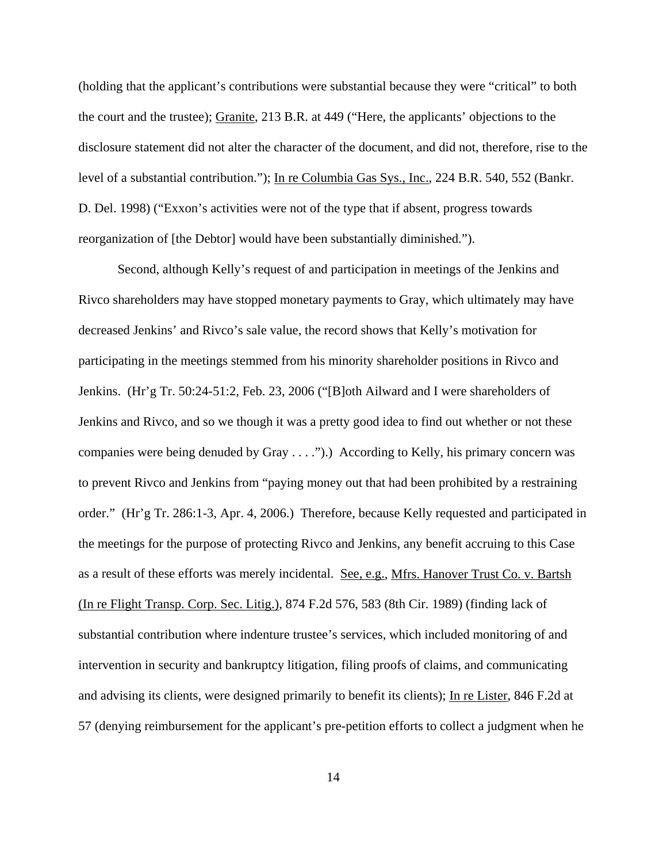(holding that the applicant's contributions were substantial because they were "critical" to both the court and the trustee); Granite, 213 B.R. at 449 ("Here, the applicants' objections to the disclosure statement did not alter the character of the document, and did not, therefore, rise to the level of a substantial contribution."); In re Columbia Gas Sys., Inc., 224 B.R. 540, 552 (Bankr. D. Del. 1998) ("Exxon's activities were not of the type that if absent, progress towards reorganization of [the Debtor] would have been substantially diminished.").

Second, although Kelly's request of and participation in meetings of the Jenkins and Rivco shareholders may have stopped monetary payments to Gray, which ultimately may have decreased Jenkins' and Rivco's sale value, the record shows that Kelly's motivation for participating in the meetings stemmed from his minority shareholder positions in Rivco and Jenkins. (Hr'g Tr. 50:24-51:2, Feb. 23, 2006 ("[B]oth Ailward and I were shareholders of Jenkins and Rivco, and so we though it was a pretty good idea to find out whether or not these companies were being denuded by Gray . . . .").) According to Kelly, his primary concern was to prevent Rivco and Jenkins from "paying money out that had been prohibited by a restraining order." (Hr'g Tr. 286:1-3, Apr. 4, 2006.) Therefore, because Kelly requested and participated in the meetings for the purpose of protecting Rivco and Jenkins, any benefit accruing to this Case as a result of these efforts was merely incidental. See, e.g., Mfrs. Hanover Trust Co. v. Bartsh (In re Flight Transp. Corp. Sec. Litig.), 874 F.2d 576, 583 (8th Cir. 1989) (finding lack of substantial contribution where indenture trustee's services, which included monitoring of and intervention in security and bankruptcy litigation, filing proofs of claims, and communicating and advising its clients, were designed primarily to benefit its clients); In re Lister, 846 F.2d at 57 (denying reimbursement for the applicant's pre-petition efforts to collect a judgment when he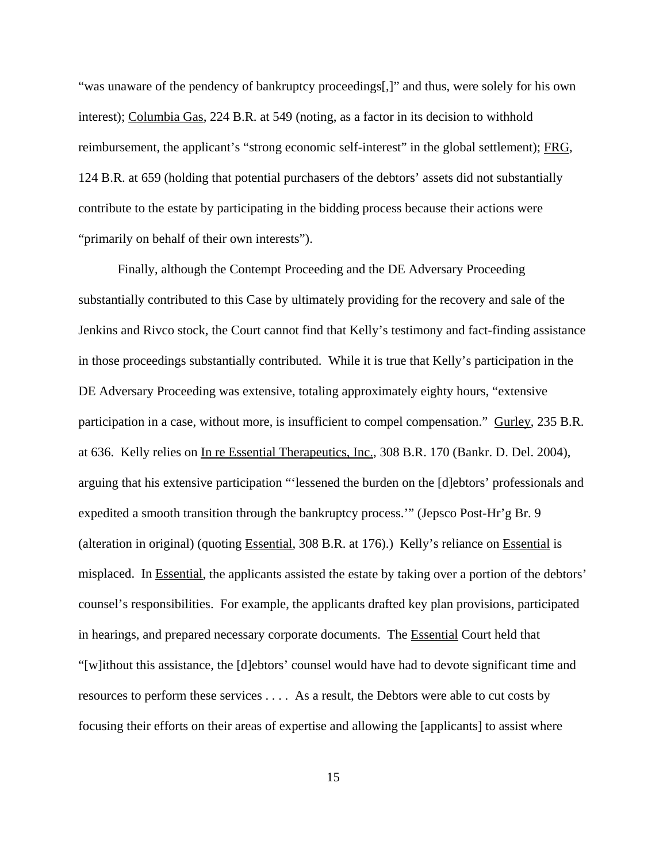"was unaware of the pendency of bankruptcy proceedings[,]" and thus, were solely for his own interest); Columbia Gas, 224 B.R. at 549 (noting, as a factor in its decision to withhold reimbursement, the applicant's "strong economic self-interest" in the global settlement); FRG, 124 B.R. at 659 (holding that potential purchasers of the debtors' assets did not substantially contribute to the estate by participating in the bidding process because their actions were "primarily on behalf of their own interests").

Finally, although the Contempt Proceeding and the DE Adversary Proceeding substantially contributed to this Case by ultimately providing for the recovery and sale of the Jenkins and Rivco stock, the Court cannot find that Kelly's testimony and fact-finding assistance in those proceedings substantially contributed. While it is true that Kelly's participation in the DE Adversary Proceeding was extensive, totaling approximately eighty hours, "extensive participation in a case, without more, is insufficient to compel compensation." Gurley, 235 B.R. at 636. Kelly relies on In re Essential Therapeutics, Inc., 308 B.R. 170 (Bankr. D. Del. 2004), arguing that his extensive participation "'lessened the burden on the [d]ebtors' professionals and expedited a smooth transition through the bankruptcy process.'" (Jepsco Post-Hr'g Br. 9 (alteration in original) (quoting Essential, 308 B.R. at 176).) Kelly's reliance on Essential is misplaced. In Essential, the applicants assisted the estate by taking over a portion of the debtors' counsel's responsibilities. For example, the applicants drafted key plan provisions, participated in hearings, and prepared necessary corporate documents. The Essential Court held that "[w]ithout this assistance, the [d]ebtors' counsel would have had to devote significant time and resources to perform these services . . . . As a result, the Debtors were able to cut costs by focusing their efforts on their areas of expertise and allowing the [applicants] to assist where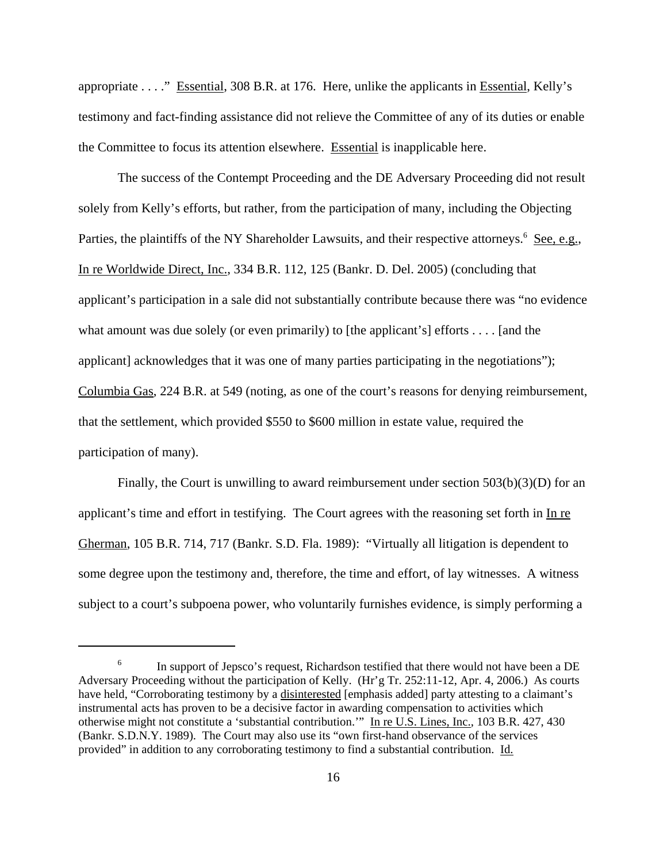appropriate . . . ." Essential, 308 B.R. at 176. Here, unlike the applicants in Essential, Kelly's testimony and fact-finding assistance did not relieve the Committee of any of its duties or enable the Committee to focus its attention elsewhere. Essential is inapplicable here.

The success of the Contempt Proceeding and the DE Adversary Proceeding did not result solely from Kelly's efforts, but rather, from the participation of many, including the Objecting Parties, the plaintiffs of the NY Shareholder Lawsuits, and their respective attorneys.<sup>6</sup> See, e.g., In re Worldwide Direct, Inc., 334 B.R. 112, 125 (Bankr. D. Del. 2005) (concluding that applicant's participation in a sale did not substantially contribute because there was "no evidence what amount was due solely (or even primarily) to [the applicant's] efforts . . . . [and the applicant] acknowledges that it was one of many parties participating in the negotiations"); Columbia Gas, 224 B.R. at 549 (noting, as one of the court's reasons for denying reimbursement, that the settlement, which provided \$550 to \$600 million in estate value, required the participation of many).

Finally, the Court is unwilling to award reimbursement under section 503(b)(3)(D) for an applicant's time and effort in testifying. The Court agrees with the reasoning set forth in In re Gherman, 105 B.R. 714, 717 (Bankr. S.D. Fla. 1989): "Virtually all litigation is dependent to some degree upon the testimony and, therefore, the time and effort, of lay witnesses. A witness subject to a court's subpoena power, who voluntarily furnishes evidence, is simply performing a

 $6 \text{ In support of Jepsco's request, Richardson testified that there would not have been a DE.}$ Adversary Proceeding without the participation of Kelly. (Hr'g Tr. 252:11-12, Apr. 4, 2006.) As courts have held, "Corroborating testimony by a disinterested [emphasis added] party attesting to a claimant's instrumental acts has proven to be a decisive factor in awarding compensation to activities which otherwise might not constitute a 'substantial contribution.'" In re U.S. Lines, Inc., 103 B.R. 427, 430 (Bankr. S.D.N.Y. 1989). The Court may also use its "own first-hand observance of the services provided" in addition to any corroborating testimony to find a substantial contribution. Id.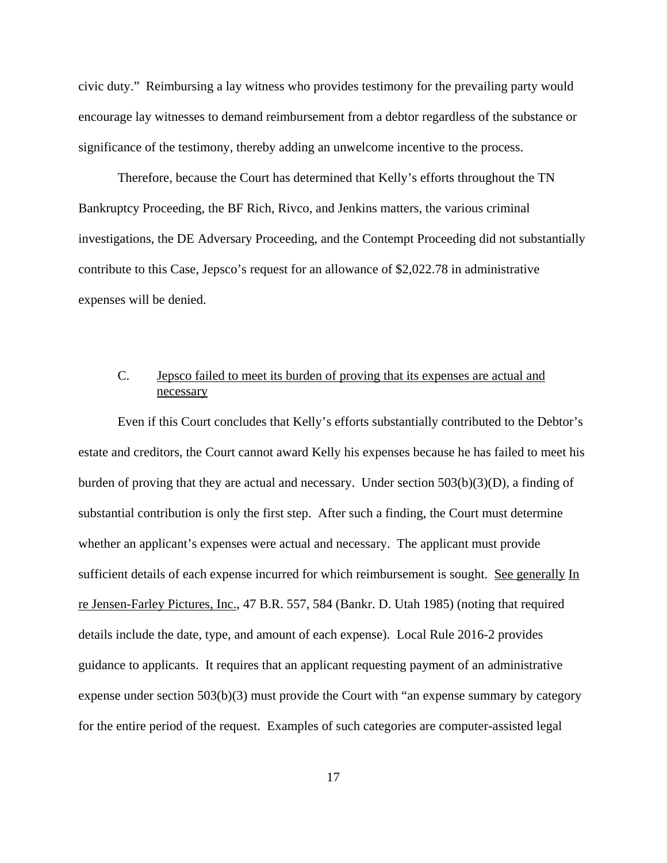civic duty." Reimbursing a lay witness who provides testimony for the prevailing party would encourage lay witnesses to demand reimbursement from a debtor regardless of the substance or significance of the testimony, thereby adding an unwelcome incentive to the process.

Therefore, because the Court has determined that Kelly's efforts throughout the TN Bankruptcy Proceeding, the BF Rich, Rivco, and Jenkins matters, the various criminal investigations, the DE Adversary Proceeding, and the Contempt Proceeding did not substantially contribute to this Case, Jepsco's request for an allowance of \$2,022.78 in administrative expenses will be denied.

## C. Jepsco failed to meet its burden of proving that its expenses are actual and necessary

Even if this Court concludes that Kelly's efforts substantially contributed to the Debtor's estate and creditors, the Court cannot award Kelly his expenses because he has failed to meet his burden of proving that they are actual and necessary. Under section  $503(b)(3)(D)$ , a finding of substantial contribution is only the first step. After such a finding, the Court must determine whether an applicant's expenses were actual and necessary. The applicant must provide sufficient details of each expense incurred for which reimbursement is sought. See generally In re Jensen-Farley Pictures, Inc., 47 B.R. 557, 584 (Bankr. D. Utah 1985) (noting that required details include the date, type, and amount of each expense). Local Rule 2016-2 provides guidance to applicants. It requires that an applicant requesting payment of an administrative expense under section 503(b)(3) must provide the Court with "an expense summary by category for the entire period of the request. Examples of such categories are computer-assisted legal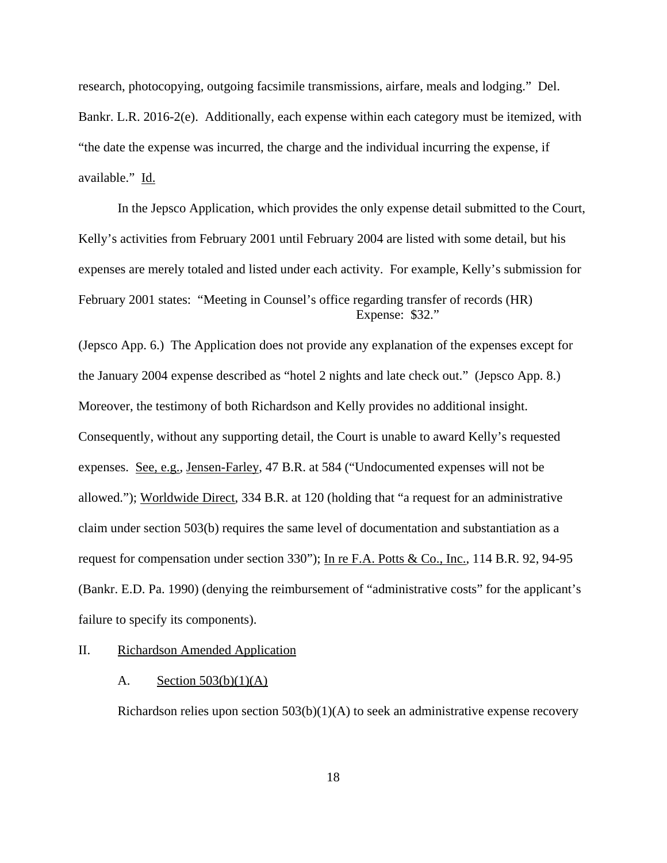research, photocopying, outgoing facsimile transmissions, airfare, meals and lodging." Del. Bankr. L.R. 2016-2(e). Additionally, each expense within each category must be itemized, with "the date the expense was incurred, the charge and the individual incurring the expense, if available." Id.

In the Jepsco Application, which provides the only expense detail submitted to the Court, Kelly's activities from February 2001 until February 2004 are listed with some detail, but his expenses are merely totaled and listed under each activity. For example, Kelly's submission for February 2001 states: "Meeting in Counsel's office regarding transfer of records (HR) Expense: \$32."

(Jepsco App. 6.) The Application does not provide any explanation of the expenses except for the January 2004 expense described as "hotel 2 nights and late check out." (Jepsco App. 8.) Moreover, the testimony of both Richardson and Kelly provides no additional insight. Consequently, without any supporting detail, the Court is unable to award Kelly's requested expenses. See, e.g., Jensen-Farley, 47 B.R. at 584 ("Undocumented expenses will not be allowed."); Worldwide Direct, 334 B.R. at 120 (holding that "a request for an administrative claim under section 503(b) requires the same level of documentation and substantiation as a request for compensation under section 330"); In re F.A. Potts & Co., Inc., 114 B.R. 92, 94-95 (Bankr. E.D. Pa. 1990) (denying the reimbursement of "administrative costs" for the applicant's failure to specify its components).

### II. Richardson Amended Application

#### A. Section  $503(b)(1)(A)$

Richardson relies upon section 503(b)(1)(A) to seek an administrative expense recovery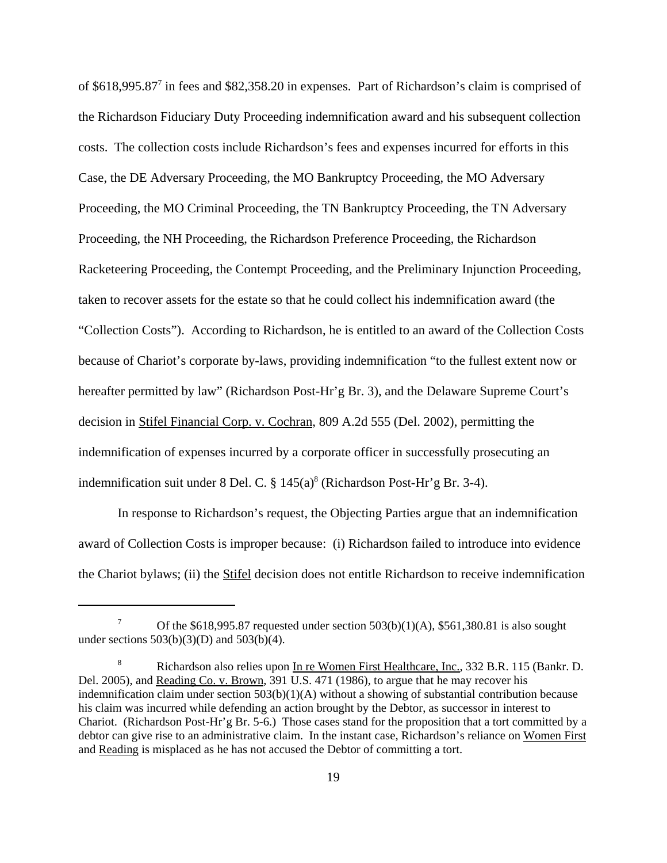of \$618,995.87<sup>7</sup> in fees and \$82,358.20 in expenses. Part of Richardson's claim is comprised of the Richardson Fiduciary Duty Proceeding indemnification award and his subsequent collection costs. The collection costs include Richardson's fees and expenses incurred for efforts in this Case, the DE Adversary Proceeding, the MO Bankruptcy Proceeding, the MO Adversary Proceeding, the MO Criminal Proceeding, the TN Bankruptcy Proceeding, the TN Adversary Proceeding, the NH Proceeding, the Richardson Preference Proceeding, the Richardson Racketeering Proceeding, the Contempt Proceeding, and the Preliminary Injunction Proceeding, taken to recover assets for the estate so that he could collect his indemnification award (the "Collection Costs"). According to Richardson, he is entitled to an award of the Collection Costs because of Chariot's corporate by-laws, providing indemnification "to the fullest extent now or hereafter permitted by law" (Richardson Post-Hr'g Br. 3), and the Delaware Supreme Court's decision in Stifel Financial Corp. v. Cochran, 809 A.2d 555 (Del. 2002), permitting the indemnification of expenses incurred by a corporate officer in successfully prosecuting an indemnification suit under 8 Del. C.  $\S 145(a)^8$  (Richardson Post-Hr'g Br. 3-4).

In response to Richardson's request, the Objecting Parties argue that an indemnification award of Collection Costs is improper because: (i) Richardson failed to introduce into evidence the Chariot bylaws; (ii) the Stifel decision does not entitle Richardson to receive indemnification

<sup>&</sup>lt;sup>7</sup> Of the \$618,995.87 requested under section  $503(b)(1)(A)$ , \$561,380.81 is also sought under sections  $503(b)(3)(D)$  and  $503(b)(4)$ .

<sup>8</sup> Richardson also relies upon In re Women First Healthcare, Inc., 332 B.R. 115 (Bankr. D. Del. 2005), and Reading Co. v. Brown, 391 U.S. 471 (1986), to argue that he may recover his indemnification claim under section 503(b)(1)(A) without a showing of substantial contribution because his claim was incurred while defending an action brought by the Debtor, as successor in interest to Chariot. (Richardson Post-Hr'g Br. 5-6.) Those cases stand for the proposition that a tort committed by a debtor can give rise to an administrative claim. In the instant case, Richardson's reliance on Women First and Reading is misplaced as he has not accused the Debtor of committing a tort.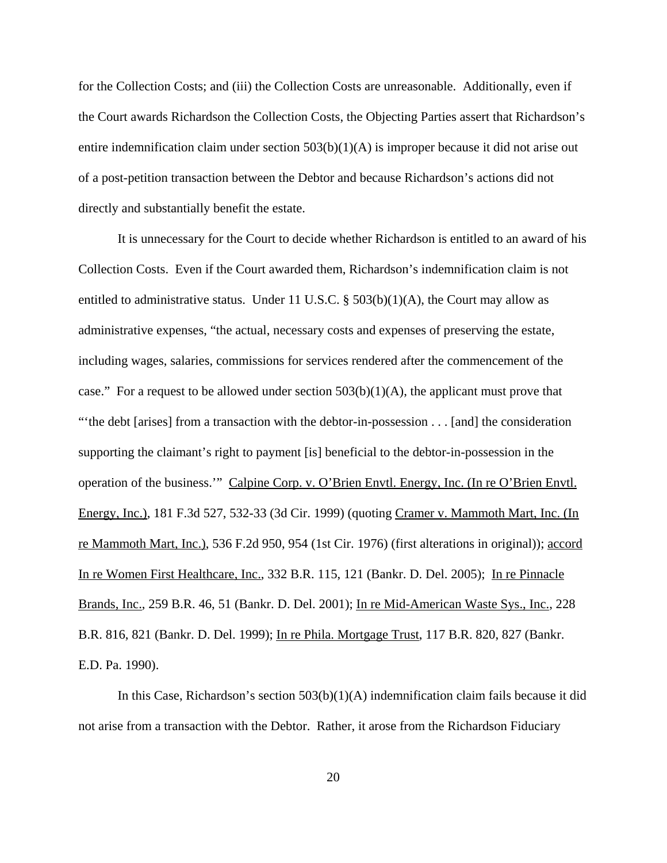for the Collection Costs; and (iii) the Collection Costs are unreasonable. Additionally, even if the Court awards Richardson the Collection Costs, the Objecting Parties assert that Richardson's entire indemnification claim under section  $503(b)(1)(A)$  is improper because it did not arise out of a post-petition transaction between the Debtor and because Richardson's actions did not directly and substantially benefit the estate.

It is unnecessary for the Court to decide whether Richardson is entitled to an award of his Collection Costs. Even if the Court awarded them, Richardson's indemnification claim is not entitled to administrative status. Under 11 U.S.C.  $\S$  503(b)(1)(A), the Court may allow as administrative expenses, "the actual, necessary costs and expenses of preserving the estate, including wages, salaries, commissions for services rendered after the commencement of the case." For a request to be allowed under section  $503(b)(1)(A)$ , the applicant must prove that "'the debt [arises] from a transaction with the debtor-in-possession . . . [and] the consideration supporting the claimant's right to payment [is] beneficial to the debtor-in-possession in the operation of the business.'" Calpine Corp. v. O'Brien Envtl. Energy, Inc. (In re O'Brien Envtl. Energy, Inc.), 181 F.3d 527, 532-33 (3d Cir. 1999) (quoting Cramer v. Mammoth Mart, Inc. (In re Mammoth Mart, Inc.), 536 F.2d 950, 954 (1st Cir. 1976) (first alterations in original)); accord In re Women First Healthcare, Inc., 332 B.R. 115, 121 (Bankr. D. Del. 2005); In re Pinnacle Brands, Inc., 259 B.R. 46, 51 (Bankr. D. Del. 2001); In re Mid-American Waste Sys., Inc., 228 B.R. 816, 821 (Bankr. D. Del. 1999); In re Phila. Mortgage Trust, 117 B.R. 820, 827 (Bankr. E.D. Pa. 1990).

In this Case, Richardson's section 503(b)(1)(A) indemnification claim fails because it did not arise from a transaction with the Debtor. Rather, it arose from the Richardson Fiduciary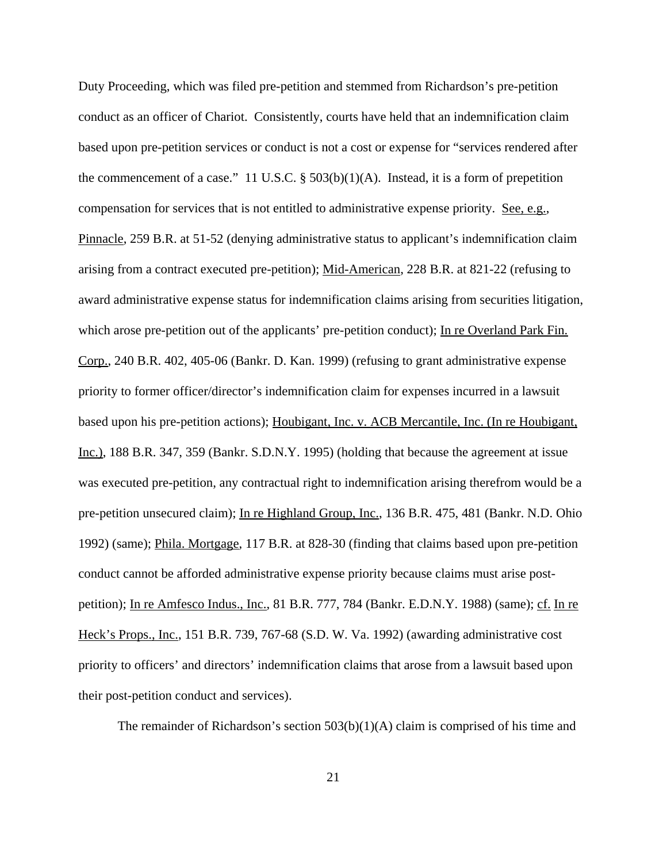Duty Proceeding, which was filed pre-petition and stemmed from Richardson's pre-petition conduct as an officer of Chariot. Consistently, courts have held that an indemnification claim based upon pre-petition services or conduct is not a cost or expense for "services rendered after the commencement of a case." 11 U.S.C.  $\S$  503(b)(1)(A). Instead, it is a form of prepetition compensation for services that is not entitled to administrative expense priority. See, e.g., Pinnacle, 259 B.R. at 51-52 (denying administrative status to applicant's indemnification claim arising from a contract executed pre-petition); Mid-American, 228 B.R. at 821-22 (refusing to award administrative expense status for indemnification claims arising from securities litigation, which arose pre-petition out of the applicants' pre-petition conduct); In re Overland Park Fin. Corp., 240 B.R. 402, 405-06 (Bankr. D. Kan. 1999) (refusing to grant administrative expense priority to former officer/director's indemnification claim for expenses incurred in a lawsuit based upon his pre-petition actions); Houbigant, Inc. v. ACB Mercantile, Inc. (In re Houbigant, Inc.), 188 B.R. 347, 359 (Bankr. S.D.N.Y. 1995) (holding that because the agreement at issue was executed pre-petition, any contractual right to indemnification arising therefrom would be a pre-petition unsecured claim); In re Highland Group, Inc., 136 B.R. 475, 481 (Bankr. N.D. Ohio 1992) (same); Phila. Mortgage, 117 B.R. at 828-30 (finding that claims based upon pre-petition conduct cannot be afforded administrative expense priority because claims must arise postpetition); In re Amfesco Indus., Inc., 81 B.R. 777, 784 (Bankr. E.D.N.Y. 1988) (same); cf. In re Heck's Props., Inc., 151 B.R. 739, 767-68 (S.D. W. Va. 1992) (awarding administrative cost priority to officers' and directors' indemnification claims that arose from a lawsuit based upon their post-petition conduct and services).

The remainder of Richardson's section  $503(b)(1)(A)$  claim is comprised of his time and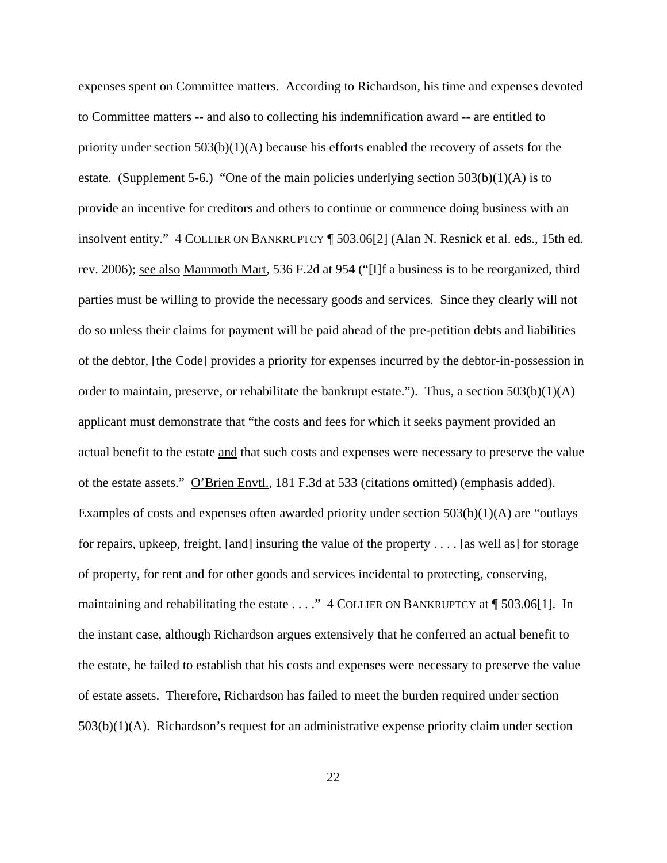expenses spent on Committee matters. According to Richardson, his time and expenses devoted to Committee matters -- and also to collecting his indemnification award -- are entitled to priority under section  $503(b)(1)(A)$  because his efforts enabled the recovery of assets for the estate. (Supplement 5-6.) "One of the main policies underlying section  $503(b)(1)(A)$  is to provide an incentive for creditors and others to continue or commence doing business with an insolvent entity." 4 COLLIER ON BANKRUPTCY ¶ 503.06[2] (Alan N. Resnick et al. eds., 15th ed. rev. 2006); see also Mammoth Mart, 536 F.2d at 954 ("[I]f a business is to be reorganized, third parties must be willing to provide the necessary goods and services. Since they clearly will not do so unless their claims for payment will be paid ahead of the pre-petition debts and liabilities of the debtor, [the Code] provides a priority for expenses incurred by the debtor-in-possession in order to maintain, preserve, or rehabilitate the bankrupt estate."). Thus, a section  $503(b)(1)(A)$ applicant must demonstrate that "the costs and fees for which it seeks payment provided an actual benefit to the estate and that such costs and expenses were necessary to preserve the value of the estate assets." O'Brien Envtl., 181 F.3d at 533 (citations omitted) (emphasis added). Examples of costs and expenses often awarded priority under section 503(b)(1)(A) are "outlays for repairs, upkeep, freight, [and] insuring the value of the property . . . . [as well as] for storage of property, for rent and for other goods and services incidental to protecting, conserving, maintaining and rehabilitating the estate . . . ." 4 COLLIER ON BANKRUPTCY at  $\P$  503.06[1]. In the instant case, although Richardson argues extensively that he conferred an actual benefit to the estate, he failed to establish that his costs and expenses were necessary to preserve the value of estate assets. Therefore, Richardson has failed to meet the burden required under section 503(b)(1)(A). Richardson's request for an administrative expense priority claim under section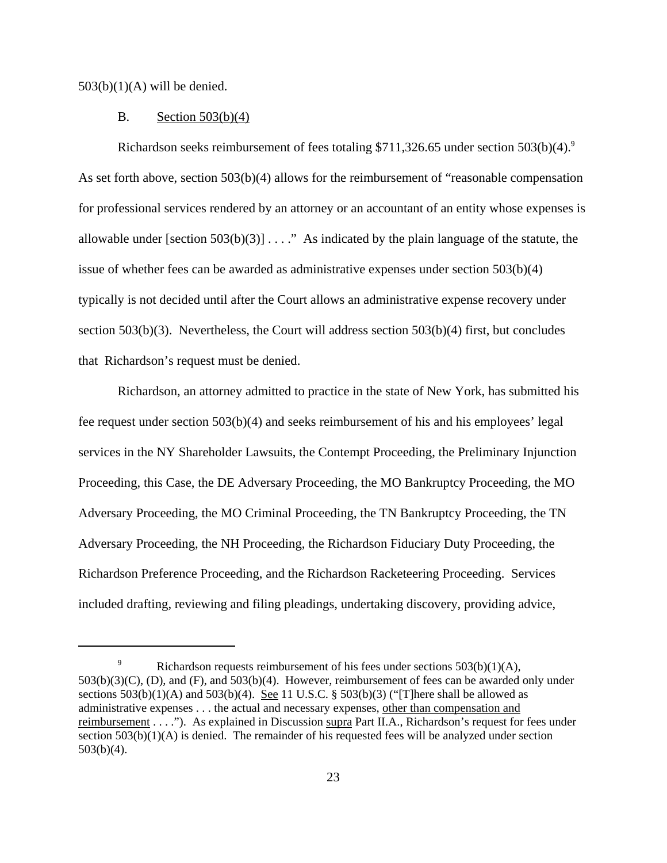$503(b)(1)(A)$  will be denied.

#### B. Section 503(b)(4)

Richardson seeks reimbursement of fees totaling \$711,326.65 under section  $503(b)(4)$ .<sup>9</sup> As set forth above, section 503(b)(4) allows for the reimbursement of "reasonable compensation for professional services rendered by an attorney or an accountant of an entity whose expenses is allowable under [section  $503(b)(3)$ ] . . . ." As indicated by the plain language of the statute, the issue of whether fees can be awarded as administrative expenses under section 503(b)(4) typically is not decided until after the Court allows an administrative expense recovery under section 503(b)(3). Nevertheless, the Court will address section 503(b)(4) first, but concludes that Richardson's request must be denied.

Richardson, an attorney admitted to practice in the state of New York, has submitted his fee request under section 503(b)(4) and seeks reimbursement of his and his employees' legal services in the NY Shareholder Lawsuits, the Contempt Proceeding, the Preliminary Injunction Proceeding, this Case, the DE Adversary Proceeding, the MO Bankruptcy Proceeding, the MO Adversary Proceeding, the MO Criminal Proceeding, the TN Bankruptcy Proceeding, the TN Adversary Proceeding, the NH Proceeding, the Richardson Fiduciary Duty Proceeding, the Richardson Preference Proceeding, and the Richardson Racketeering Proceeding. Services included drafting, reviewing and filing pleadings, undertaking discovery, providing advice,

<sup>&</sup>lt;sup>9</sup> Richardson requests reimbursement of his fees under sections  $503(b)(1)(A)$ ,  $503(b)(3)(C)$ , (D), and  $(F)$ , and  $503(b)(4)$ . However, reimbursement of fees can be awarded only under sections  $503(b)(1)(A)$  and  $503(b)(4)$ . See 11 U.S.C. §  $503(b)(3)$  ("There shall be allowed as administrative expenses . . . the actual and necessary expenses, other than compensation and reimbursement . . . ."). As explained in Discussion supra Part II.A., Richardson's request for fees under section 503(b)(1)(A) is denied. The remainder of his requested fees will be analyzed under section 503(b)(4).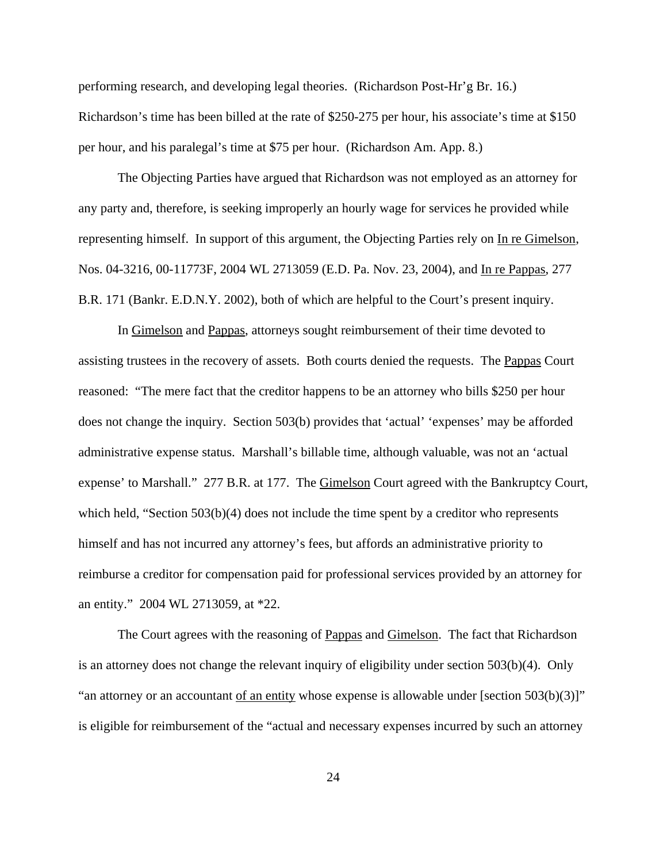performing research, and developing legal theories. (Richardson Post-Hr'g Br. 16.) Richardson's time has been billed at the rate of \$250-275 per hour, his associate's time at \$150 per hour, and his paralegal's time at \$75 per hour. (Richardson Am. App. 8.)

The Objecting Parties have argued that Richardson was not employed as an attorney for any party and, therefore, is seeking improperly an hourly wage for services he provided while representing himself. In support of this argument, the Objecting Parties rely on In re Gimelson, Nos. 04-3216, 00-11773F, 2004 WL 2713059 (E.D. Pa. Nov. 23, 2004), and In re Pappas, 277 B.R. 171 (Bankr. E.D.N.Y. 2002), both of which are helpful to the Court's present inquiry.

In Gimelson and Pappas, attorneys sought reimbursement of their time devoted to assisting trustees in the recovery of assets. Both courts denied the requests. The Pappas Court reasoned: "The mere fact that the creditor happens to be an attorney who bills \$250 per hour does not change the inquiry. Section 503(b) provides that 'actual' 'expenses' may be afforded administrative expense status. Marshall's billable time, although valuable, was not an 'actual expense' to Marshall." 277 B.R. at 177. The **Gimelson** Court agreed with the Bankruptcy Court, which held, "Section 503(b)(4) does not include the time spent by a creditor who represents himself and has not incurred any attorney's fees, but affords an administrative priority to reimburse a creditor for compensation paid for professional services provided by an attorney for an entity." 2004 WL 2713059, at \*22.

The Court agrees with the reasoning of Pappas and Gimelson. The fact that Richardson is an attorney does not change the relevant inquiry of eligibility under section 503(b)(4). Only "an attorney or an accountant of an entity whose expense is allowable under [section 503(b)(3)]" is eligible for reimbursement of the "actual and necessary expenses incurred by such an attorney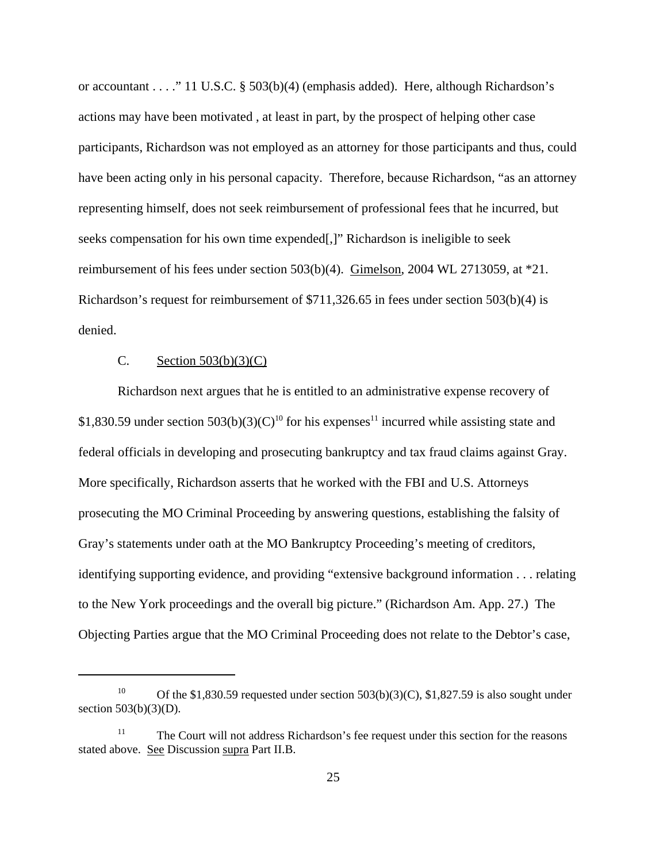or accountant . . . ." 11 U.S.C. § 503(b)(4) (emphasis added). Here, although Richardson's actions may have been motivated , at least in part, by the prospect of helping other case participants, Richardson was not employed as an attorney for those participants and thus, could have been acting only in his personal capacity. Therefore, because Richardson, "as an attorney representing himself, does not seek reimbursement of professional fees that he incurred, but seeks compensation for his own time expended[,]" Richardson is ineligible to seek reimbursement of his fees under section 503(b)(4). Gimelson, 2004 WL 2713059, at \*21. Richardson's request for reimbursement of \$711,326.65 in fees under section 503(b)(4) is denied.

## C. Section  $503(b)(3)(C)$

Richardson next argues that he is entitled to an administrative expense recovery of \$1,830.59 under section  $503(b)(3)(C)^{10}$  for his expenses<sup>11</sup> incurred while assisting state and federal officials in developing and prosecuting bankruptcy and tax fraud claims against Gray. More specifically, Richardson asserts that he worked with the FBI and U.S. Attorneys prosecuting the MO Criminal Proceeding by answering questions, establishing the falsity of Gray's statements under oath at the MO Bankruptcy Proceeding's meeting of creditors, identifying supporting evidence, and providing "extensive background information . . . relating to the New York proceedings and the overall big picture." (Richardson Am. App. 27.) The Objecting Parties argue that the MO Criminal Proceeding does not relate to the Debtor's case,

<sup>&</sup>lt;sup>10</sup> Of the \$1,830.59 requested under section 503(b)(3)(C), \$1,827.59 is also sought under section 503(b)(3)(D).

<sup>&</sup>lt;sup>11</sup> The Court will not address Richardson's fee request under this section for the reasons stated above. See Discussion supra Part II.B.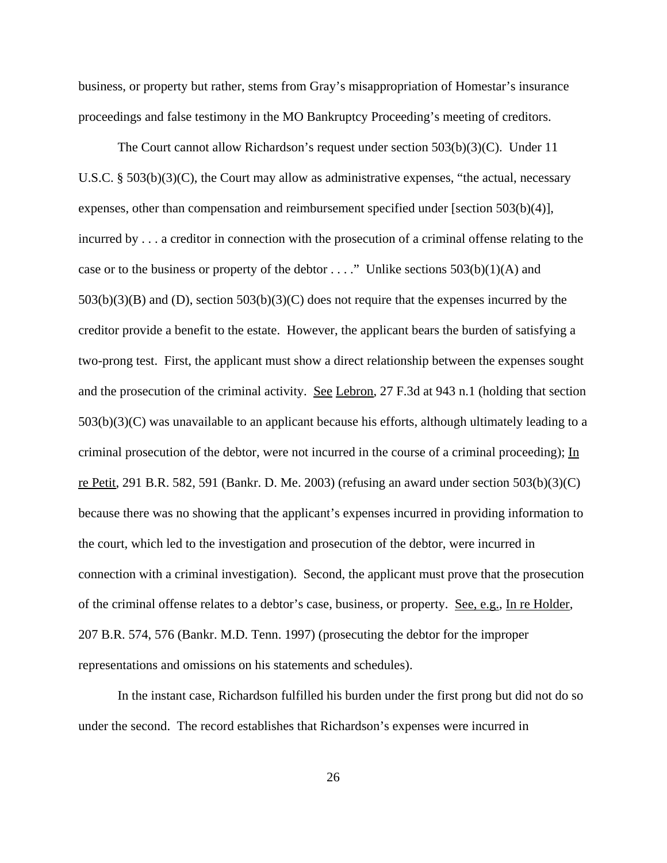business, or property but rather, stems from Gray's misappropriation of Homestar's insurance proceedings and false testimony in the MO Bankruptcy Proceeding's meeting of creditors.

The Court cannot allow Richardson's request under section 503(b)(3)(C). Under 11 U.S.C.  $\S$  503(b)(3)(C), the Court may allow as administrative expenses, "the actual, necessary expenses, other than compensation and reimbursement specified under [section 503(b)(4)], incurred by . . . a creditor in connection with the prosecution of a criminal offense relating to the case or to the business or property of the debtor . . . ." Unlike sections  $503(b)(1)(A)$  and 503(b)(3)(B) and (D), section 503(b)(3)(C) does not require that the expenses incurred by the creditor provide a benefit to the estate. However, the applicant bears the burden of satisfying a two-prong test. First, the applicant must show a direct relationship between the expenses sought and the prosecution of the criminal activity. See Lebron, 27 F.3d at 943 n.1 (holding that section 503(b)(3)(C) was unavailable to an applicant because his efforts, although ultimately leading to a criminal prosecution of the debtor, were not incurred in the course of a criminal proceeding); In re Petit, 291 B.R. 582, 591 (Bankr. D. Me. 2003) (refusing an award under section 503(b)(3)(C) because there was no showing that the applicant's expenses incurred in providing information to the court, which led to the investigation and prosecution of the debtor, were incurred in connection with a criminal investigation). Second, the applicant must prove that the prosecution of the criminal offense relates to a debtor's case, business, or property. See, e.g., In re Holder, 207 B.R. 574, 576 (Bankr. M.D. Tenn. 1997) (prosecuting the debtor for the improper representations and omissions on his statements and schedules).

In the instant case, Richardson fulfilled his burden under the first prong but did not do so under the second. The record establishes that Richardson's expenses were incurred in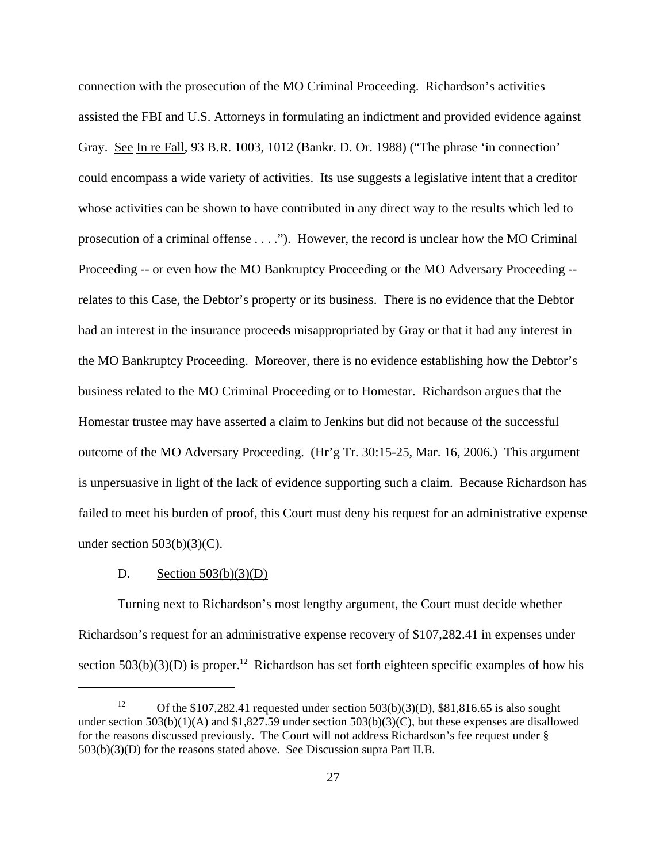connection with the prosecution of the MO Criminal Proceeding. Richardson's activities assisted the FBI and U.S. Attorneys in formulating an indictment and provided evidence against Gray. See In re Fall, 93 B.R. 1003, 1012 (Bankr. D. Or. 1988) ("The phrase 'in connection' could encompass a wide variety of activities. Its use suggests a legislative intent that a creditor whose activities can be shown to have contributed in any direct way to the results which led to prosecution of a criminal offense . . . ."). However, the record is unclear how the MO Criminal Proceeding -- or even how the MO Bankruptcy Proceeding or the MO Adversary Proceeding - relates to this Case, the Debtor's property or its business. There is no evidence that the Debtor had an interest in the insurance proceeds misappropriated by Gray or that it had any interest in the MO Bankruptcy Proceeding. Moreover, there is no evidence establishing how the Debtor's business related to the MO Criminal Proceeding or to Homestar. Richardson argues that the Homestar trustee may have asserted a claim to Jenkins but did not because of the successful outcome of the MO Adversary Proceeding. (Hr'g Tr. 30:15-25, Mar. 16, 2006.) This argument is unpersuasive in light of the lack of evidence supporting such a claim. Because Richardson has failed to meet his burden of proof, this Court must deny his request for an administrative expense under section  $503(b)(3)(C)$ .

#### D. Section  $503(b)(3)(D)$

Turning next to Richardson's most lengthy argument, the Court must decide whether Richardson's request for an administrative expense recovery of \$107,282.41 in expenses under section  $503(b)(3)(D)$  is proper.<sup>12</sup> Richardson has set forth eighteen specific examples of how his

<sup>&</sup>lt;sup>12</sup> Of the \$107,282.41 requested under section 503(b)(3)(D), \$81,816.65 is also sought under section 503(b)(1)(A) and \$1,827.59 under section 503(b)(3)(C), but these expenses are disallowed for the reasons discussed previously. The Court will not address Richardson's fee request under §  $503(b)(3)(D)$  for the reasons stated above. See Discussion supra Part II.B.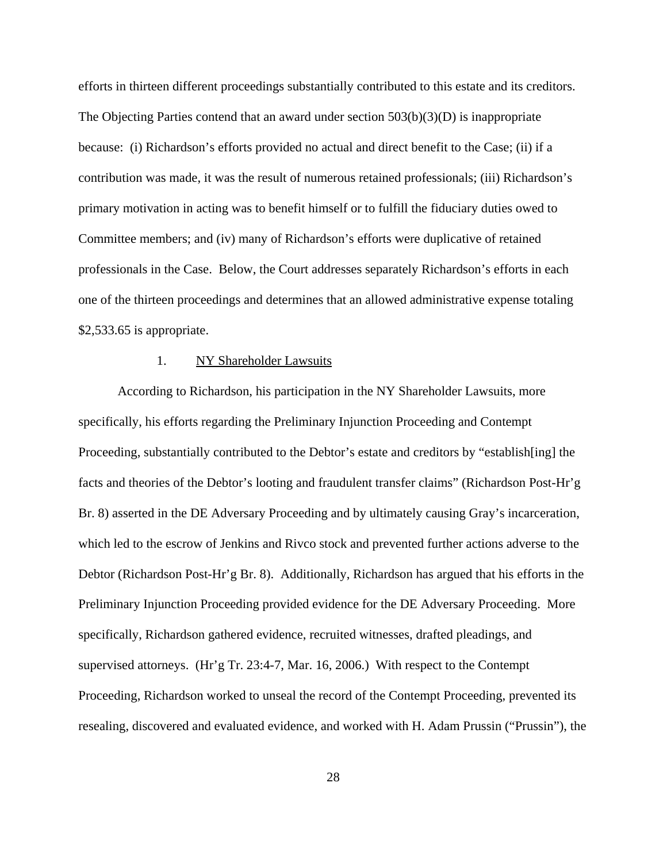efforts in thirteen different proceedings substantially contributed to this estate and its creditors. The Objecting Parties contend that an award under section 503(b)(3)(D) is inappropriate because: (i) Richardson's efforts provided no actual and direct benefit to the Case; (ii) if a contribution was made, it was the result of numerous retained professionals; (iii) Richardson's primary motivation in acting was to benefit himself or to fulfill the fiduciary duties owed to Committee members; and (iv) many of Richardson's efforts were duplicative of retained professionals in the Case. Below, the Court addresses separately Richardson's efforts in each one of the thirteen proceedings and determines that an allowed administrative expense totaling \$2,533.65 is appropriate.

#### 1. NY Shareholder Lawsuits

According to Richardson, his participation in the NY Shareholder Lawsuits, more specifically, his efforts regarding the Preliminary Injunction Proceeding and Contempt Proceeding, substantially contributed to the Debtor's estate and creditors by "establish[ing] the facts and theories of the Debtor's looting and fraudulent transfer claims" (Richardson Post-Hr'g Br. 8) asserted in the DE Adversary Proceeding and by ultimately causing Gray's incarceration, which led to the escrow of Jenkins and Rivco stock and prevented further actions adverse to the Debtor (Richardson Post-Hr'g Br. 8). Additionally, Richardson has argued that his efforts in the Preliminary Injunction Proceeding provided evidence for the DE Adversary Proceeding. More specifically, Richardson gathered evidence, recruited witnesses, drafted pleadings, and supervised attorneys. (Hr'g Tr. 23:4-7, Mar. 16, 2006.) With respect to the Contempt Proceeding, Richardson worked to unseal the record of the Contempt Proceeding, prevented its resealing, discovered and evaluated evidence, and worked with H. Adam Prussin ("Prussin"), the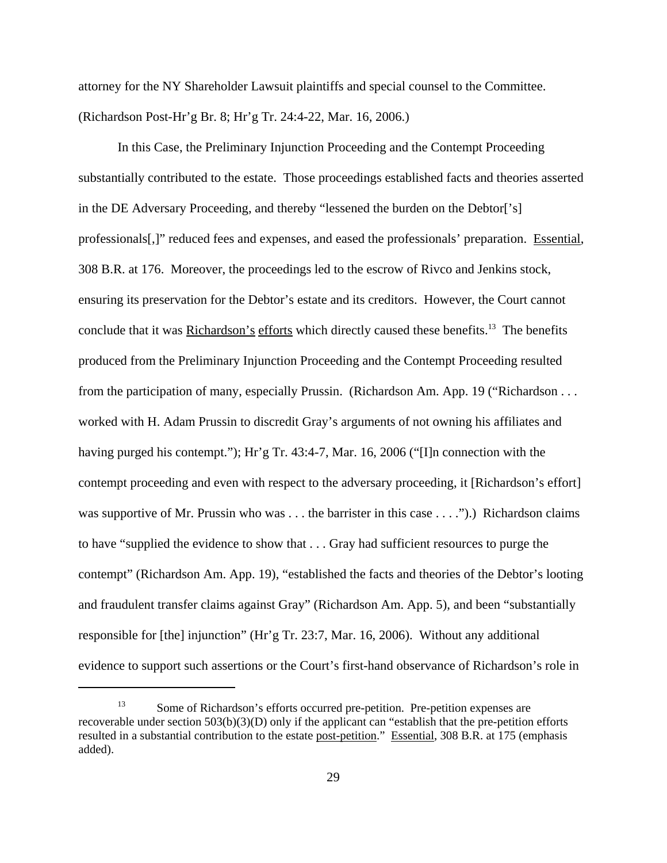attorney for the NY Shareholder Lawsuit plaintiffs and special counsel to the Committee. (Richardson Post-Hr'g Br. 8; Hr'g Tr. 24:4-22, Mar. 16, 2006.)

In this Case, the Preliminary Injunction Proceeding and the Contempt Proceeding substantially contributed to the estate. Those proceedings established facts and theories asserted in the DE Adversary Proceeding, and thereby "lessened the burden on the Debtor['s] professionals[,]" reduced fees and expenses, and eased the professionals' preparation. Essential, 308 B.R. at 176. Moreover, the proceedings led to the escrow of Rivco and Jenkins stock, ensuring its preservation for the Debtor's estate and its creditors. However, the Court cannot conclude that it was Richardson's efforts which directly caused these benefits.<sup>13</sup> The benefits produced from the Preliminary Injunction Proceeding and the Contempt Proceeding resulted from the participation of many, especially Prussin. (Richardson Am. App. 19 ("Richardson . . . worked with H. Adam Prussin to discredit Gray's arguments of not owning his affiliates and having purged his contempt."); Hr'g Tr. 43:4-7, Mar. 16, 2006 ("[I]n connection with the contempt proceeding and even with respect to the adversary proceeding, it [Richardson's effort] was supportive of Mr. Prussin who was . . . the barrister in this case . . . .").) Richardson claims to have "supplied the evidence to show that . . . Gray had sufficient resources to purge the contempt" (Richardson Am. App. 19), "established the facts and theories of the Debtor's looting and fraudulent transfer claims against Gray" (Richardson Am. App. 5), and been "substantially responsible for [the] injunction" (Hr'g Tr. 23:7, Mar. 16, 2006). Without any additional evidence to support such assertions or the Court's first-hand observance of Richardson's role in

<sup>&</sup>lt;sup>13</sup> Some of Richardson's efforts occurred pre-petition. Pre-petition expenses are recoverable under section 503(b)(3)(D) only if the applicant can "establish that the pre-petition efforts resulted in a substantial contribution to the estate post-petition." Essential, 308 B.R. at 175 (emphasis added).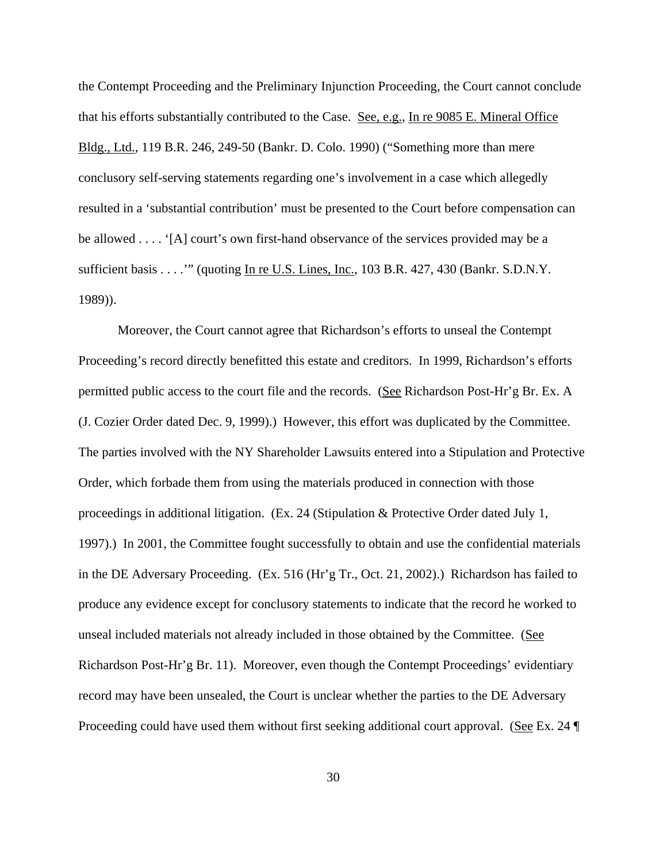the Contempt Proceeding and the Preliminary Injunction Proceeding, the Court cannot conclude that his efforts substantially contributed to the Case. See, e.g., In re 9085 E. Mineral Office Bldg., Ltd., 119 B.R. 246, 249-50 (Bankr. D. Colo. 1990) ("Something more than mere conclusory self-serving statements regarding one's involvement in a case which allegedly resulted in a 'substantial contribution' must be presented to the Court before compensation can be allowed . . . . '[A] court's own first-hand observance of the services provided may be a sufficient basis . . . . "" (quoting In re U.S. Lines, Inc., 103 B.R. 427, 430 (Bankr. S.D.N.Y. 1989)).

Moreover, the Court cannot agree that Richardson's efforts to unseal the Contempt Proceeding's record directly benefitted this estate and creditors. In 1999, Richardson's efforts permitted public access to the court file and the records. (See Richardson Post-Hr'g Br. Ex. A (J. Cozier Order dated Dec. 9, 1999).) However, this effort was duplicated by the Committee. The parties involved with the NY Shareholder Lawsuits entered into a Stipulation and Protective Order, which forbade them from using the materials produced in connection with those proceedings in additional litigation. (Ex. 24 (Stipulation & Protective Order dated July 1, 1997).) In 2001, the Committee fought successfully to obtain and use the confidential materials in the DE Adversary Proceeding. (Ex. 516 (Hr'g Tr., Oct. 21, 2002).) Richardson has failed to produce any evidence except for conclusory statements to indicate that the record he worked to unseal included materials not already included in those obtained by the Committee. (See Richardson Post-Hr'g Br. 11). Moreover, even though the Contempt Proceedings' evidentiary record may have been unsealed, the Court is unclear whether the parties to the DE Adversary Proceeding could have used them without first seeking additional court approval. (See Ex. 24  $\P$ )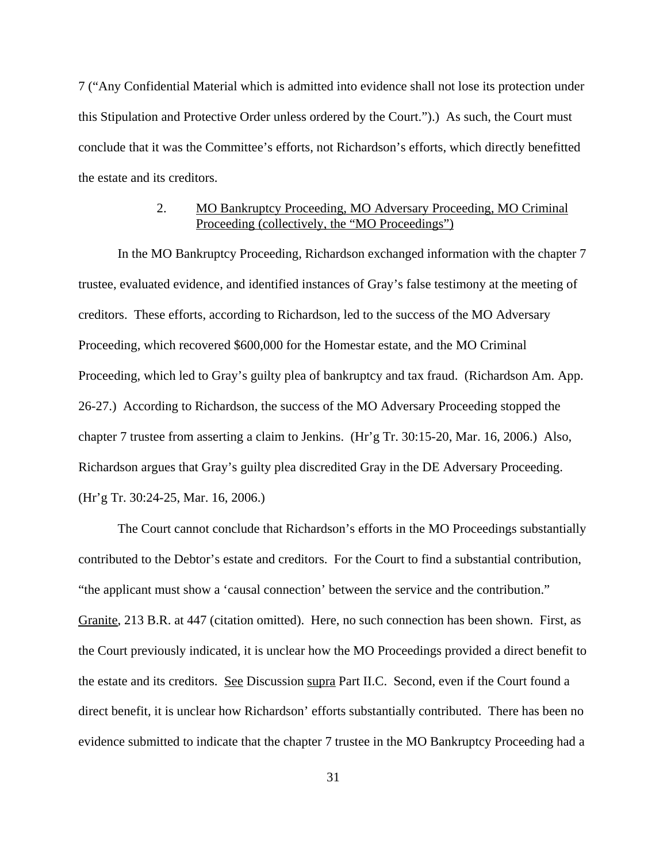7 ("Any Confidential Material which is admitted into evidence shall not lose its protection under this Stipulation and Protective Order unless ordered by the Court.").) As such, the Court must conclude that it was the Committee's efforts, not Richardson's efforts, which directly benefitted the estate and its creditors.

## 2. MO Bankruptcy Proceeding, MO Adversary Proceeding, MO Criminal Proceeding (collectively, the "MO Proceedings")

In the MO Bankruptcy Proceeding, Richardson exchanged information with the chapter 7 trustee, evaluated evidence, and identified instances of Gray's false testimony at the meeting of creditors. These efforts, according to Richardson, led to the success of the MO Adversary Proceeding, which recovered \$600,000 for the Homestar estate, and the MO Criminal Proceeding, which led to Gray's guilty plea of bankruptcy and tax fraud. (Richardson Am. App. 26-27.) According to Richardson, the success of the MO Adversary Proceeding stopped the chapter 7 trustee from asserting a claim to Jenkins. (Hr'g Tr. 30:15-20, Mar. 16, 2006.) Also, Richardson argues that Gray's guilty plea discredited Gray in the DE Adversary Proceeding. (Hr'g Tr. 30:24-25, Mar. 16, 2006.)

The Court cannot conclude that Richardson's efforts in the MO Proceedings substantially contributed to the Debtor's estate and creditors. For the Court to find a substantial contribution, "the applicant must show a 'causal connection' between the service and the contribution." Granite, 213 B.R. at 447 (citation omitted). Here, no such connection has been shown. First, as the Court previously indicated, it is unclear how the MO Proceedings provided a direct benefit to the estate and its creditors. See Discussion supra Part II.C. Second, even if the Court found a direct benefit, it is unclear how Richardson' efforts substantially contributed. There has been no evidence submitted to indicate that the chapter 7 trustee in the MO Bankruptcy Proceeding had a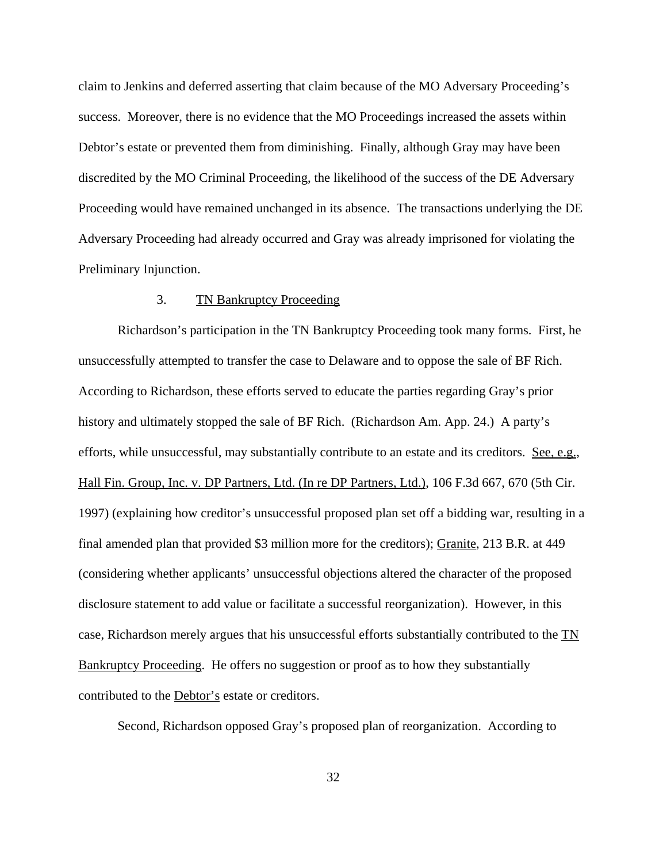claim to Jenkins and deferred asserting that claim because of the MO Adversary Proceeding's success. Moreover, there is no evidence that the MO Proceedings increased the assets within Debtor's estate or prevented them from diminishing. Finally, although Gray may have been discredited by the MO Criminal Proceeding, the likelihood of the success of the DE Adversary Proceeding would have remained unchanged in its absence. The transactions underlying the DE Adversary Proceeding had already occurred and Gray was already imprisoned for violating the Preliminary Injunction.

## 3. TN Bankruptcy Proceeding

Richardson's participation in the TN Bankruptcy Proceeding took many forms. First, he unsuccessfully attempted to transfer the case to Delaware and to oppose the sale of BF Rich. According to Richardson, these efforts served to educate the parties regarding Gray's prior history and ultimately stopped the sale of BF Rich. (Richardson Am. App. 24.) A party's efforts, while unsuccessful, may substantially contribute to an estate and its creditors. See, e.g., Hall Fin. Group, Inc. v. DP Partners, Ltd. (In re DP Partners, Ltd.), 106 F.3d 667, 670 (5th Cir. 1997) (explaining how creditor's unsuccessful proposed plan set off a bidding war, resulting in a final amended plan that provided \$3 million more for the creditors); Granite, 213 B.R. at 449 (considering whether applicants' unsuccessful objections altered the character of the proposed disclosure statement to add value or facilitate a successful reorganization). However, in this case, Richardson merely argues that his unsuccessful efforts substantially contributed to the TN Bankruptcy Proceeding. He offers no suggestion or proof as to how they substantially contributed to the Debtor's estate or creditors.

Second, Richardson opposed Gray's proposed plan of reorganization. According to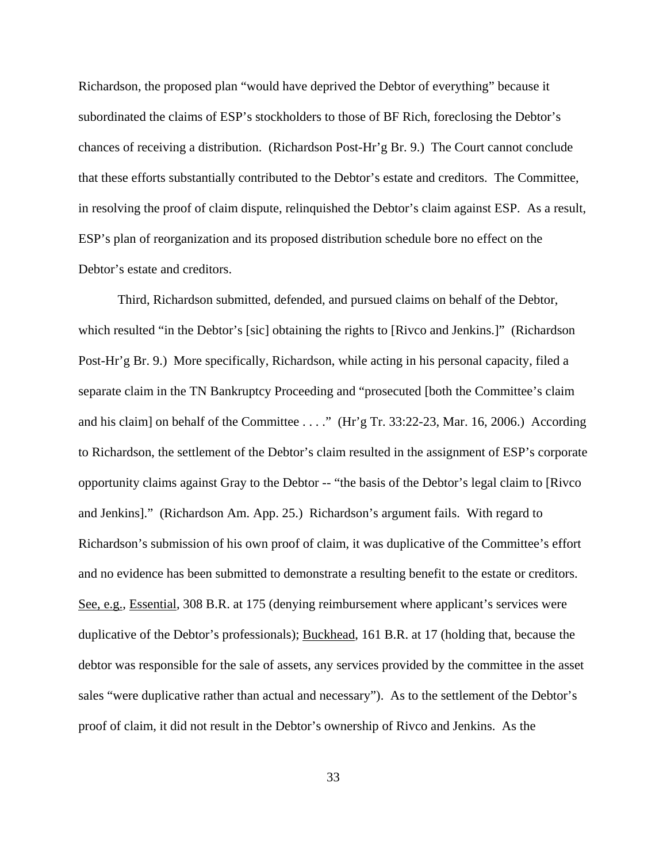Richardson, the proposed plan "would have deprived the Debtor of everything" because it subordinated the claims of ESP's stockholders to those of BF Rich, foreclosing the Debtor's chances of receiving a distribution. (Richardson Post-Hr'g Br. 9.) The Court cannot conclude that these efforts substantially contributed to the Debtor's estate and creditors. The Committee, in resolving the proof of claim dispute, relinquished the Debtor's claim against ESP. As a result, ESP's plan of reorganization and its proposed distribution schedule bore no effect on the Debtor's estate and creditors.

Third, Richardson submitted, defended, and pursued claims on behalf of the Debtor, which resulted "in the Debtor's [sic] obtaining the rights to [Rivco and Jenkins.]" (Richardson Post-Hr'g Br. 9.) More specifically, Richardson, while acting in his personal capacity, filed a separate claim in the TN Bankruptcy Proceeding and "prosecuted [both the Committee's claim and his claim] on behalf of the Committee . . . ." (Hr'g Tr. 33:22-23, Mar. 16, 2006.) According to Richardson, the settlement of the Debtor's claim resulted in the assignment of ESP's corporate opportunity claims against Gray to the Debtor -- "the basis of the Debtor's legal claim to [Rivco and Jenkins]." (Richardson Am. App. 25.) Richardson's argument fails. With regard to Richardson's submission of his own proof of claim, it was duplicative of the Committee's effort and no evidence has been submitted to demonstrate a resulting benefit to the estate or creditors. See, e.g., Essential, 308 B.R. at 175 (denying reimbursement where applicant's services were duplicative of the Debtor's professionals); Buckhead, 161 B.R. at 17 (holding that, because the debtor was responsible for the sale of assets, any services provided by the committee in the asset sales "were duplicative rather than actual and necessary"). As to the settlement of the Debtor's proof of claim, it did not result in the Debtor's ownership of Rivco and Jenkins. As the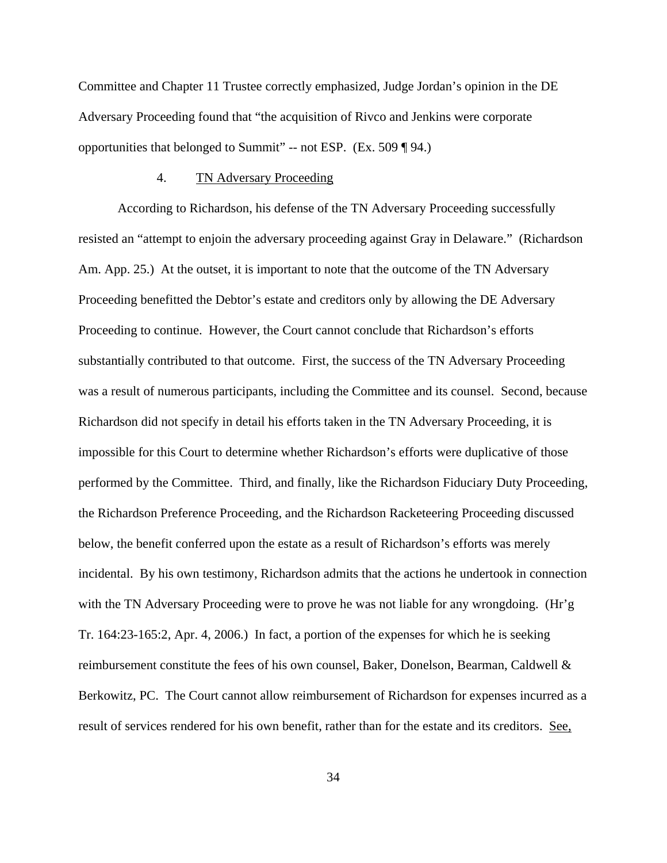Committee and Chapter 11 Trustee correctly emphasized, Judge Jordan's opinion in the DE Adversary Proceeding found that "the acquisition of Rivco and Jenkins were corporate opportunities that belonged to Summit" -- not ESP. (Ex. 509 ¶ 94.)

#### 4. TN Adversary Proceeding

According to Richardson, his defense of the TN Adversary Proceeding successfully resisted an "attempt to enjoin the adversary proceeding against Gray in Delaware." (Richardson Am. App. 25.) At the outset, it is important to note that the outcome of the TN Adversary Proceeding benefitted the Debtor's estate and creditors only by allowing the DE Adversary Proceeding to continue. However, the Court cannot conclude that Richardson's efforts substantially contributed to that outcome. First, the success of the TN Adversary Proceeding was a result of numerous participants, including the Committee and its counsel. Second, because Richardson did not specify in detail his efforts taken in the TN Adversary Proceeding, it is impossible for this Court to determine whether Richardson's efforts were duplicative of those performed by the Committee. Third, and finally, like the Richardson Fiduciary Duty Proceeding, the Richardson Preference Proceeding, and the Richardson Racketeering Proceeding discussed below, the benefit conferred upon the estate as a result of Richardson's efforts was merely incidental. By his own testimony, Richardson admits that the actions he undertook in connection with the TN Adversary Proceeding were to prove he was not liable for any wrongdoing. (Hr'g Tr. 164:23-165:2, Apr. 4, 2006.) In fact, a portion of the expenses for which he is seeking reimbursement constitute the fees of his own counsel, Baker, Donelson, Bearman, Caldwell & Berkowitz, PC. The Court cannot allow reimbursement of Richardson for expenses incurred as a result of services rendered for his own benefit, rather than for the estate and its creditors. See,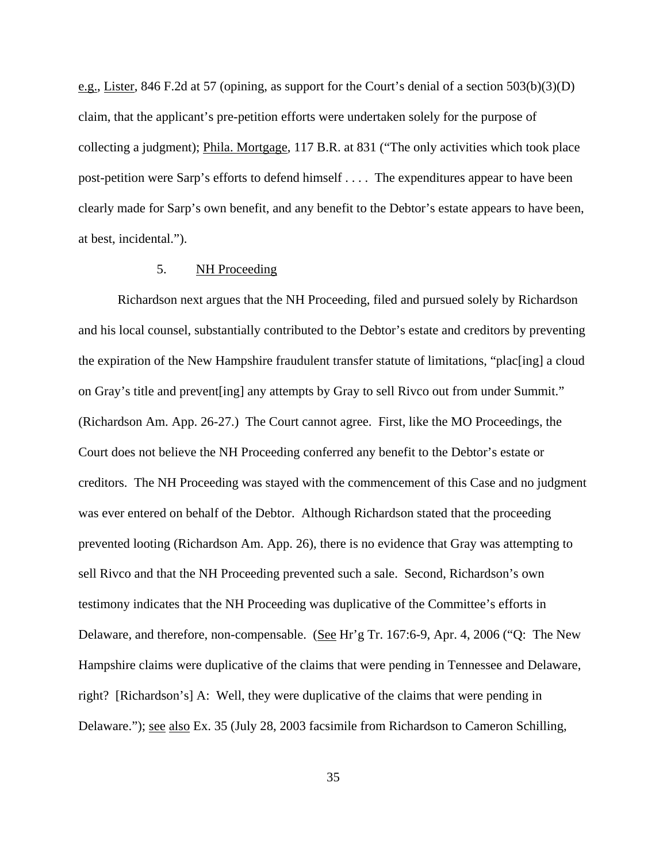e.g., Lister, 846 F.2d at 57 (opining, as support for the Court's denial of a section 503(b)(3)(D) claim, that the applicant's pre-petition efforts were undertaken solely for the purpose of collecting a judgment); Phila. Mortgage, 117 B.R. at 831 ("The only activities which took place post-petition were Sarp's efforts to defend himself . . . . The expenditures appear to have been clearly made for Sarp's own benefit, and any benefit to the Debtor's estate appears to have been, at best, incidental.").

## 5. NH Proceeding

Richardson next argues that the NH Proceeding, filed and pursued solely by Richardson and his local counsel, substantially contributed to the Debtor's estate and creditors by preventing the expiration of the New Hampshire fraudulent transfer statute of limitations, "plac[ing] a cloud on Gray's title and prevent[ing] any attempts by Gray to sell Rivco out from under Summit." (Richardson Am. App. 26-27.) The Court cannot agree. First, like the MO Proceedings, the Court does not believe the NH Proceeding conferred any benefit to the Debtor's estate or creditors. The NH Proceeding was stayed with the commencement of this Case and no judgment was ever entered on behalf of the Debtor. Although Richardson stated that the proceeding prevented looting (Richardson Am. App. 26), there is no evidence that Gray was attempting to sell Rivco and that the NH Proceeding prevented such a sale. Second, Richardson's own testimony indicates that the NH Proceeding was duplicative of the Committee's efforts in Delaware, and therefore, non-compensable. (See Hr'g Tr. 167:6-9, Apr. 4, 2006 ("Q: The New Hampshire claims were duplicative of the claims that were pending in Tennessee and Delaware, right? [Richardson's] A: Well, they were duplicative of the claims that were pending in Delaware."); <u>see also</u> Ex. 35 (July 28, 2003 facsimile from Richardson to Cameron Schilling,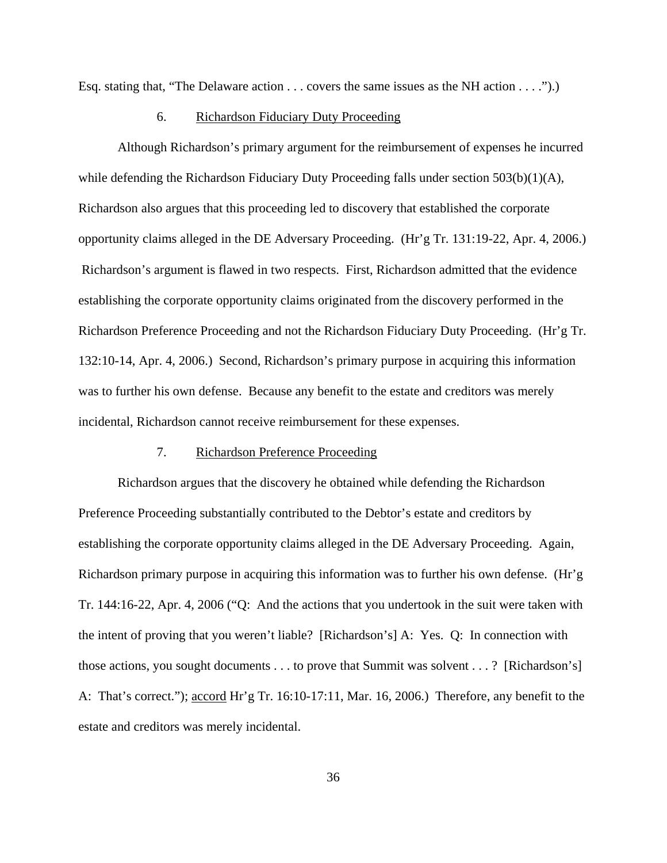Esq. stating that, "The Delaware action  $\dots$  covers the same issues as the NH action  $\dots$ .").)

#### 6. Richardson Fiduciary Duty Proceeding

Although Richardson's primary argument for the reimbursement of expenses he incurred while defending the Richardson Fiduciary Duty Proceeding falls under section  $503(b)(1)(A)$ , Richardson also argues that this proceeding led to discovery that established the corporate opportunity claims alleged in the DE Adversary Proceeding. (Hr'g Tr. 131:19-22, Apr. 4, 2006.) Richardson's argument is flawed in two respects. First, Richardson admitted that the evidence establishing the corporate opportunity claims originated from the discovery performed in the Richardson Preference Proceeding and not the Richardson Fiduciary Duty Proceeding. (Hr'g Tr. 132:10-14, Apr. 4, 2006.) Second, Richardson's primary purpose in acquiring this information was to further his own defense. Because any benefit to the estate and creditors was merely incidental, Richardson cannot receive reimbursement for these expenses.

#### 7. Richardson Preference Proceeding

Richardson argues that the discovery he obtained while defending the Richardson Preference Proceeding substantially contributed to the Debtor's estate and creditors by establishing the corporate opportunity claims alleged in the DE Adversary Proceeding. Again, Richardson primary purpose in acquiring this information was to further his own defense. (Hr'g Tr. 144:16-22, Apr. 4, 2006 ("Q: And the actions that you undertook in the suit were taken with the intent of proving that you weren't liable? [Richardson's] A: Yes. Q: In connection with those actions, you sought documents . . . to prove that Summit was solvent . . . ? [Richardson's] A: That's correct."); accord Hr'g Tr. 16:10-17:11, Mar. 16, 2006.) Therefore, any benefit to the estate and creditors was merely incidental.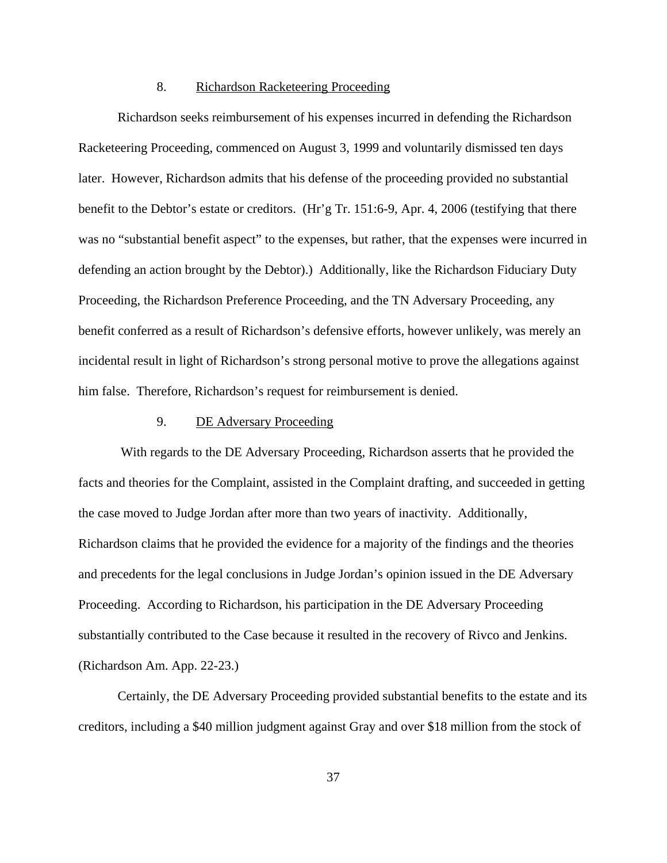#### 8. Richardson Racketeering Proceeding

Richardson seeks reimbursement of his expenses incurred in defending the Richardson Racketeering Proceeding, commenced on August 3, 1999 and voluntarily dismissed ten days later. However, Richardson admits that his defense of the proceeding provided no substantial benefit to the Debtor's estate or creditors. (Hr'g Tr. 151:6-9, Apr. 4, 2006 (testifying that there was no "substantial benefit aspect" to the expenses, but rather, that the expenses were incurred in defending an action brought by the Debtor).) Additionally, like the Richardson Fiduciary Duty Proceeding, the Richardson Preference Proceeding, and the TN Adversary Proceeding, any benefit conferred as a result of Richardson's defensive efforts, however unlikely, was merely an incidental result in light of Richardson's strong personal motive to prove the allegations against him false. Therefore, Richardson's request for reimbursement is denied.

## 9. DE Adversary Proceeding

 With regards to the DE Adversary Proceeding, Richardson asserts that he provided the facts and theories for the Complaint, assisted in the Complaint drafting, and succeeded in getting the case moved to Judge Jordan after more than two years of inactivity. Additionally, Richardson claims that he provided the evidence for a majority of the findings and the theories and precedents for the legal conclusions in Judge Jordan's opinion issued in the DE Adversary Proceeding. According to Richardson, his participation in the DE Adversary Proceeding substantially contributed to the Case because it resulted in the recovery of Rivco and Jenkins. (Richardson Am. App. 22-23.)

Certainly, the DE Adversary Proceeding provided substantial benefits to the estate and its creditors, including a \$40 million judgment against Gray and over \$18 million from the stock of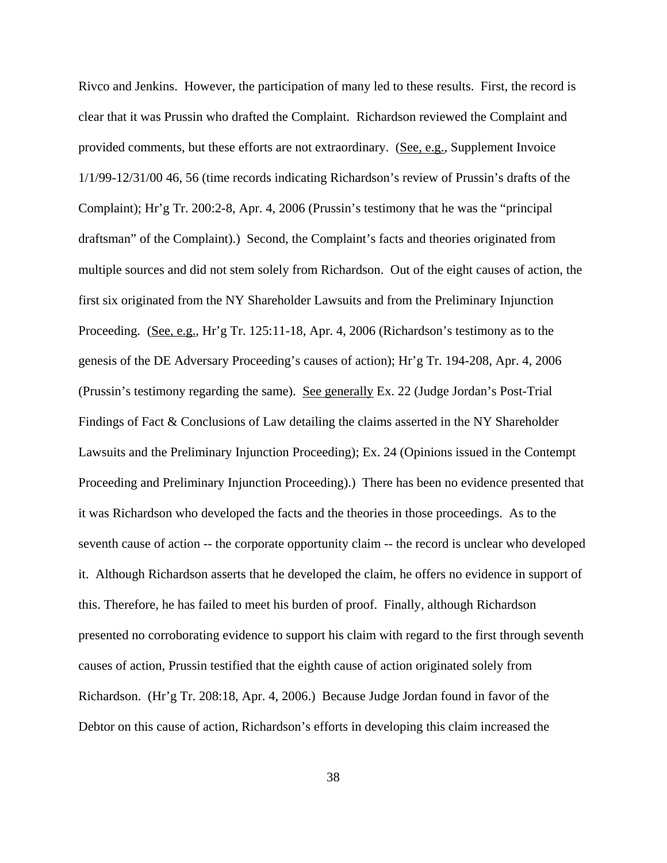Rivco and Jenkins. However, the participation of many led to these results. First, the record is clear that it was Prussin who drafted the Complaint. Richardson reviewed the Complaint and provided comments, but these efforts are not extraordinary. (See, e.g., Supplement Invoice 1/1/99-12/31/00 46, 56 (time records indicating Richardson's review of Prussin's drafts of the Complaint); Hr'g Tr. 200:2-8, Apr. 4, 2006 (Prussin's testimony that he was the "principal draftsman" of the Complaint).) Second, the Complaint's facts and theories originated from multiple sources and did not stem solely from Richardson. Out of the eight causes of action, the first six originated from the NY Shareholder Lawsuits and from the Preliminary Injunction Proceeding. (See, e.g., Hr'g Tr. 125:11-18, Apr. 4, 2006 (Richardson's testimony as to the genesis of the DE Adversary Proceeding's causes of action); Hr'g Tr. 194-208, Apr. 4, 2006 (Prussin's testimony regarding the same). See generally Ex. 22 (Judge Jordan's Post-Trial Findings of Fact & Conclusions of Law detailing the claims asserted in the NY Shareholder Lawsuits and the Preliminary Injunction Proceeding); Ex. 24 (Opinions issued in the Contempt Proceeding and Preliminary Injunction Proceeding).) There has been no evidence presented that it was Richardson who developed the facts and the theories in those proceedings. As to the seventh cause of action -- the corporate opportunity claim -- the record is unclear who developed it. Although Richardson asserts that he developed the claim, he offers no evidence in support of this. Therefore, he has failed to meet his burden of proof. Finally, although Richardson presented no corroborating evidence to support his claim with regard to the first through seventh causes of action, Prussin testified that the eighth cause of action originated solely from Richardson. (Hr'g Tr. 208:18, Apr. 4, 2006.) Because Judge Jordan found in favor of the Debtor on this cause of action, Richardson's efforts in developing this claim increased the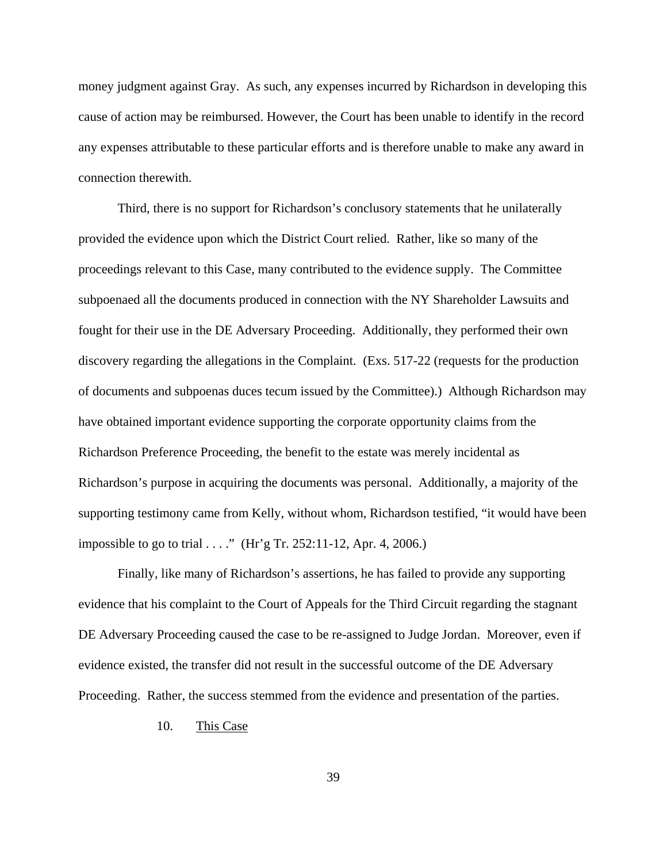money judgment against Gray. As such, any expenses incurred by Richardson in developing this cause of action may be reimbursed. However, the Court has been unable to identify in the record any expenses attributable to these particular efforts and is therefore unable to make any award in connection therewith.

Third, there is no support for Richardson's conclusory statements that he unilaterally provided the evidence upon which the District Court relied. Rather, like so many of the proceedings relevant to this Case, many contributed to the evidence supply. The Committee subpoenaed all the documents produced in connection with the NY Shareholder Lawsuits and fought for their use in the DE Adversary Proceeding. Additionally, they performed their own discovery regarding the allegations in the Complaint. (Exs. 517-22 (requests for the production of documents and subpoenas duces tecum issued by the Committee).) Although Richardson may have obtained important evidence supporting the corporate opportunity claims from the Richardson Preference Proceeding, the benefit to the estate was merely incidental as Richardson's purpose in acquiring the documents was personal. Additionally, a majority of the supporting testimony came from Kelly, without whom, Richardson testified, "it would have been impossible to go to trial . . . ." (Hr'g Tr. 252:11-12, Apr. 4, 2006.)

Finally, like many of Richardson's assertions, he has failed to provide any supporting evidence that his complaint to the Court of Appeals for the Third Circuit regarding the stagnant DE Adversary Proceeding caused the case to be re-assigned to Judge Jordan. Moreover, even if evidence existed, the transfer did not result in the successful outcome of the DE Adversary Proceeding. Rather, the success stemmed from the evidence and presentation of the parties.

## 10. This Case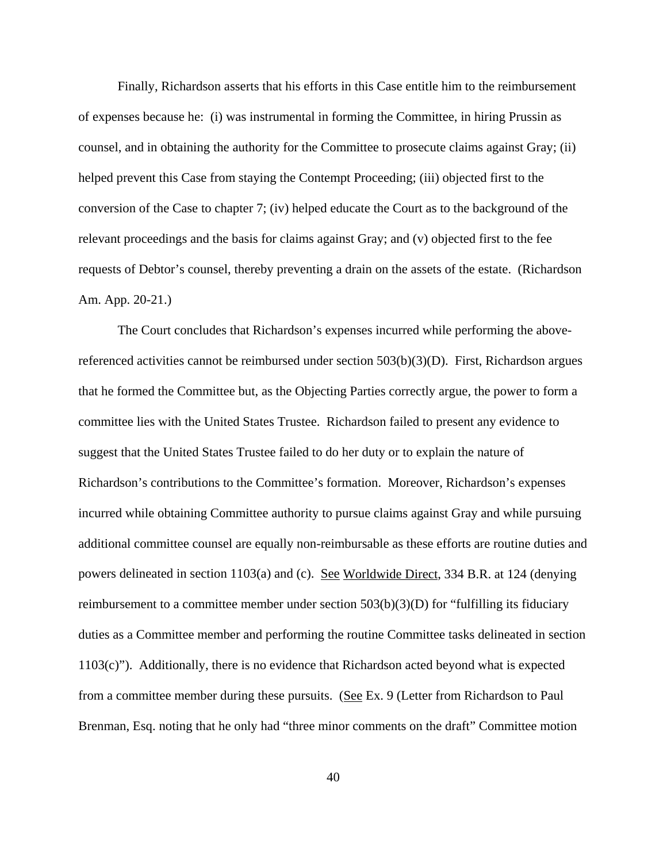Finally, Richardson asserts that his efforts in this Case entitle him to the reimbursement of expenses because he: (i) was instrumental in forming the Committee, in hiring Prussin as counsel, and in obtaining the authority for the Committee to prosecute claims against Gray; (ii) helped prevent this Case from staying the Contempt Proceeding; (iii) objected first to the conversion of the Case to chapter 7; (iv) helped educate the Court as to the background of the relevant proceedings and the basis for claims against Gray; and (v) objected first to the fee requests of Debtor's counsel, thereby preventing a drain on the assets of the estate. (Richardson Am. App. 20-21.)

The Court concludes that Richardson's expenses incurred while performing the abovereferenced activities cannot be reimbursed under section 503(b)(3)(D). First, Richardson argues that he formed the Committee but, as the Objecting Parties correctly argue, the power to form a committee lies with the United States Trustee. Richardson failed to present any evidence to suggest that the United States Trustee failed to do her duty or to explain the nature of Richardson's contributions to the Committee's formation. Moreover, Richardson's expenses incurred while obtaining Committee authority to pursue claims against Gray and while pursuing additional committee counsel are equally non-reimbursable as these efforts are routine duties and powers delineated in section 1103(a) and (c). See Worldwide Direct, 334 B.R. at 124 (denying reimbursement to a committee member under section 503(b)(3)(D) for "fulfilling its fiduciary duties as a Committee member and performing the routine Committee tasks delineated in section 1103(c)"). Additionally, there is no evidence that Richardson acted beyond what is expected from a committee member during these pursuits. (See Ex. 9 (Letter from Richardson to Paul Brenman, Esq. noting that he only had "three minor comments on the draft" Committee motion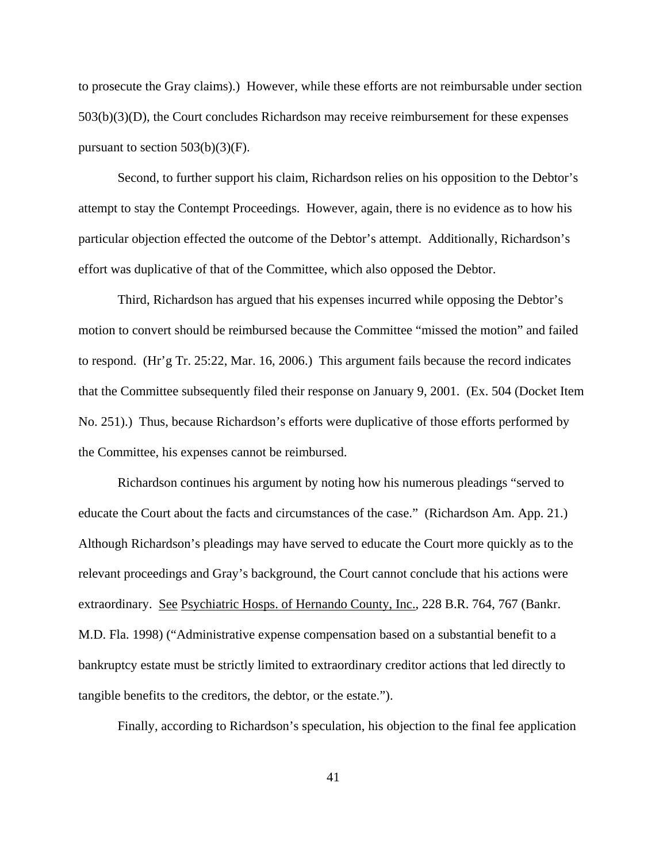to prosecute the Gray claims).) However, while these efforts are not reimbursable under section 503(b)(3)(D), the Court concludes Richardson may receive reimbursement for these expenses pursuant to section  $503(b)(3)(F)$ .

Second, to further support his claim, Richardson relies on his opposition to the Debtor's attempt to stay the Contempt Proceedings. However, again, there is no evidence as to how his particular objection effected the outcome of the Debtor's attempt. Additionally, Richardson's effort was duplicative of that of the Committee, which also opposed the Debtor.

Third, Richardson has argued that his expenses incurred while opposing the Debtor's motion to convert should be reimbursed because the Committee "missed the motion" and failed to respond. (Hr'g Tr. 25:22, Mar. 16, 2006.) This argument fails because the record indicates that the Committee subsequently filed their response on January 9, 2001. (Ex. 504 (Docket Item No. 251).) Thus, because Richardson's efforts were duplicative of those efforts performed by the Committee, his expenses cannot be reimbursed.

Richardson continues his argument by noting how his numerous pleadings "served to educate the Court about the facts and circumstances of the case." (Richardson Am. App. 21.) Although Richardson's pleadings may have served to educate the Court more quickly as to the relevant proceedings and Gray's background, the Court cannot conclude that his actions were extraordinary. See Psychiatric Hosps. of Hernando County, Inc., 228 B.R. 764, 767 (Bankr. M.D. Fla. 1998) ("Administrative expense compensation based on a substantial benefit to a bankruptcy estate must be strictly limited to extraordinary creditor actions that led directly to tangible benefits to the creditors, the debtor, or the estate.").

Finally, according to Richardson's speculation, his objection to the final fee application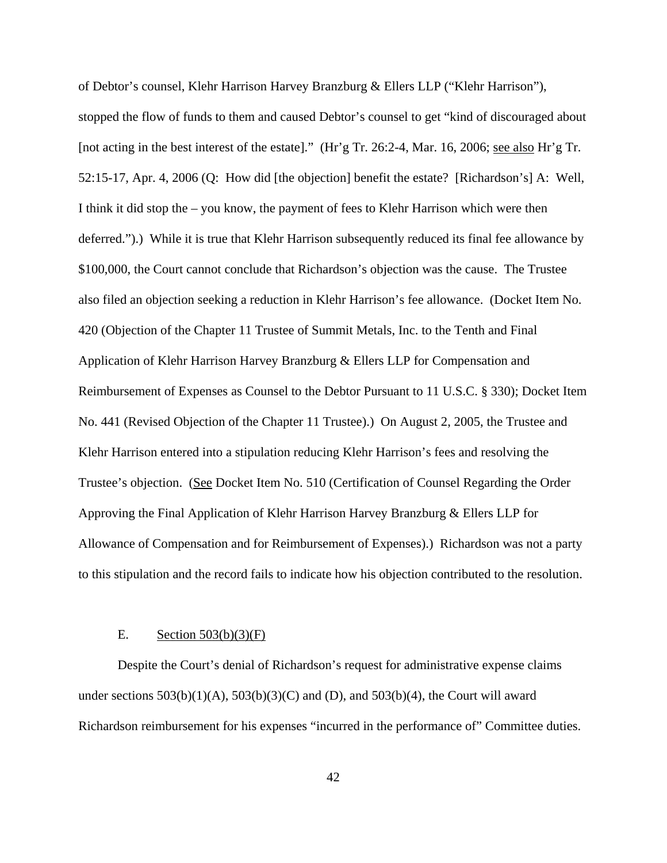of Debtor's counsel, Klehr Harrison Harvey Branzburg & Ellers LLP ("Klehr Harrison"), stopped the flow of funds to them and caused Debtor's counsel to get "kind of discouraged about [not acting in the best interest of the estate]." (Hr'g Tr. 26:2-4, Mar. 16, 2006; see also Hr'g Tr. 52:15-17, Apr. 4, 2006 (Q: How did [the objection] benefit the estate? [Richardson's] A: Well, I think it did stop the – you know, the payment of fees to Klehr Harrison which were then deferred.").) While it is true that Klehr Harrison subsequently reduced its final fee allowance by \$100,000, the Court cannot conclude that Richardson's objection was the cause. The Trustee also filed an objection seeking a reduction in Klehr Harrison's fee allowance. (Docket Item No. 420 (Objection of the Chapter 11 Trustee of Summit Metals, Inc. to the Tenth and Final Application of Klehr Harrison Harvey Branzburg & Ellers LLP for Compensation and Reimbursement of Expenses as Counsel to the Debtor Pursuant to 11 U.S.C. § 330); Docket Item No. 441 (Revised Objection of the Chapter 11 Trustee).) On August 2, 2005, the Trustee and Klehr Harrison entered into a stipulation reducing Klehr Harrison's fees and resolving the Trustee's objection. (See Docket Item No. 510 (Certification of Counsel Regarding the Order Approving the Final Application of Klehr Harrison Harvey Branzburg & Ellers LLP for Allowance of Compensation and for Reimbursement of Expenses).) Richardson was not a party to this stipulation and the record fails to indicate how his objection contributed to the resolution.

#### E. Section  $503(b)(3)(F)$

Despite the Court's denial of Richardson's request for administrative expense claims under sections  $503(b)(1)(A)$ ,  $503(b)(3)(C)$  and  $(D)$ , and  $503(b)(4)$ , the Court will award Richardson reimbursement for his expenses "incurred in the performance of" Committee duties.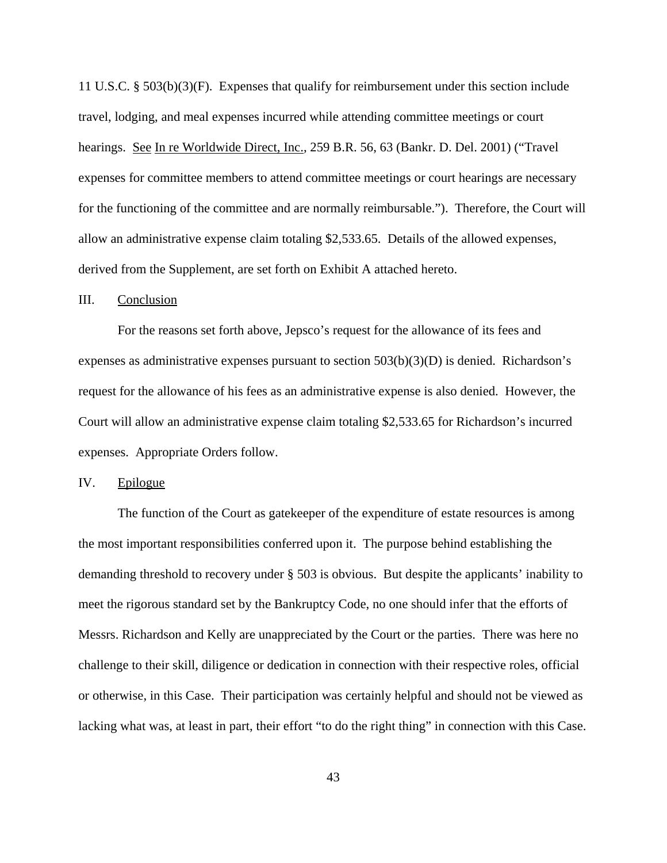11 U.S.C. § 503(b)(3)(F). Expenses that qualify for reimbursement under this section include travel, lodging, and meal expenses incurred while attending committee meetings or court hearings. See In re Worldwide Direct, Inc., 259 B.R. 56, 63 (Bankr. D. Del. 2001) ("Travel expenses for committee members to attend committee meetings or court hearings are necessary for the functioning of the committee and are normally reimbursable."). Therefore, the Court will allow an administrative expense claim totaling \$2,533.65. Details of the allowed expenses, derived from the Supplement, are set forth on Exhibit A attached hereto.

#### III. Conclusion

For the reasons set forth above, Jepsco's request for the allowance of its fees and expenses as administrative expenses pursuant to section 503(b)(3)(D) is denied. Richardson's request for the allowance of his fees as an administrative expense is also denied. However, the Court will allow an administrative expense claim totaling \$2,533.65 for Richardson's incurred expenses. Appropriate Orders follow.

IV. Epilogue

The function of the Court as gatekeeper of the expenditure of estate resources is among the most important responsibilities conferred upon it. The purpose behind establishing the demanding threshold to recovery under § 503 is obvious. But despite the applicants' inability to meet the rigorous standard set by the Bankruptcy Code, no one should infer that the efforts of Messrs. Richardson and Kelly are unappreciated by the Court or the parties. There was here no challenge to their skill, diligence or dedication in connection with their respective roles, official or otherwise, in this Case. Their participation was certainly helpful and should not be viewed as lacking what was, at least in part, their effort "to do the right thing" in connection with this Case.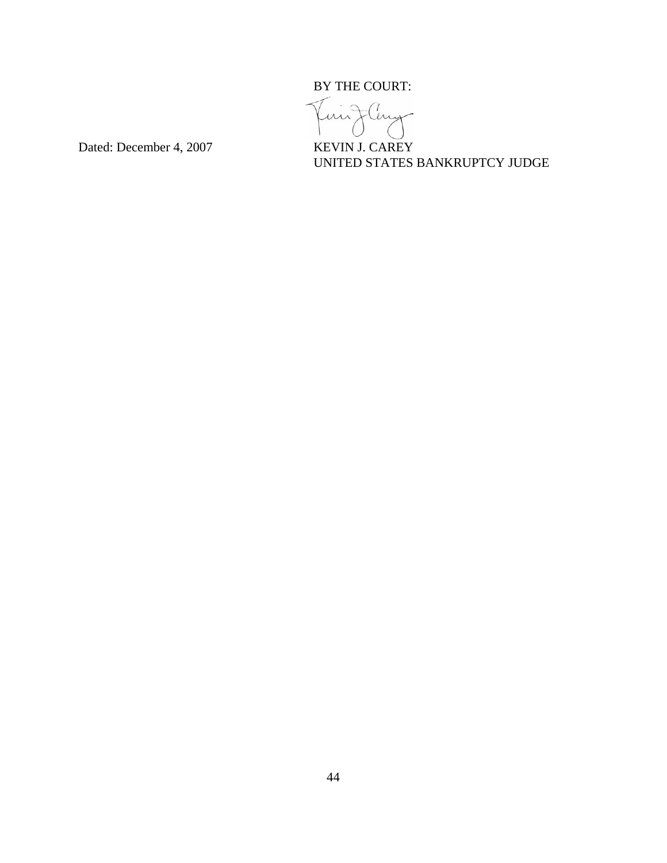



Dated: December 4, 2007 KEVIN J. CAREY

UNITED STATES BANKRUPTCY JUDGE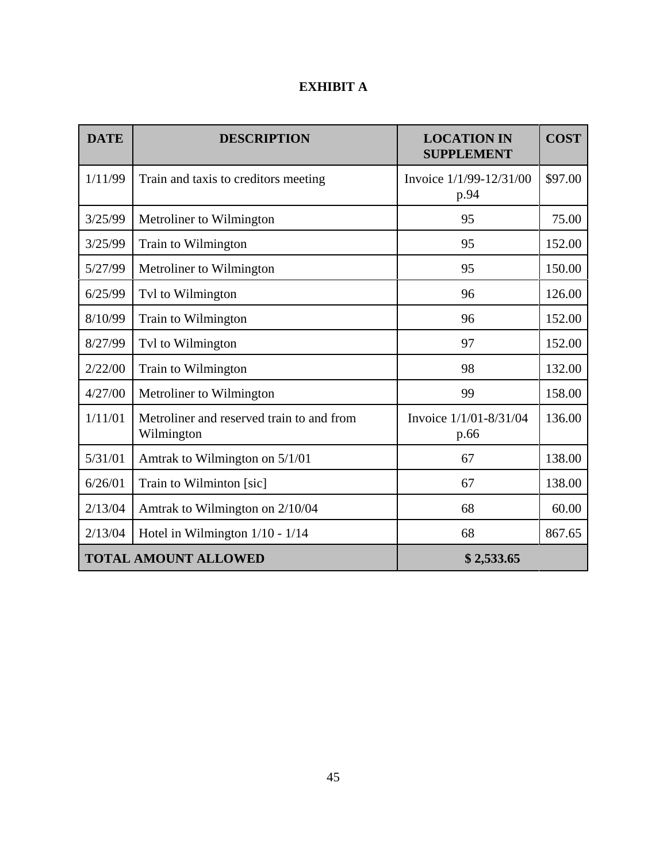## **EXHIBIT A**

| <b>DATE</b>                 | <b>DESCRIPTION</b>                                      | <b>LOCATION IN</b><br><b>SUPPLEMENT</b> | <b>COST</b> |
|-----------------------------|---------------------------------------------------------|-----------------------------------------|-------------|
| 1/11/99                     | Train and taxis to creditors meeting                    | Invoice 1/1/99-12/31/00<br>p.94         | \$97.00     |
| 3/25/99                     | Metroliner to Wilmington                                | 95                                      | 75.00       |
| 3/25/99                     | Train to Wilmington                                     | 95                                      | 152.00      |
| 5/27/99                     | Metroliner to Wilmington                                | 95                                      | 150.00      |
| 6/25/99                     | Tvl to Wilmington                                       | 96                                      | 126.00      |
| 8/10/99                     | Train to Wilmington                                     | 96                                      | 152.00      |
| 8/27/99                     | Tvl to Wilmington                                       | 97                                      | 152.00      |
| 2/22/00                     | Train to Wilmington                                     | 98                                      | 132.00      |
| 4/27/00                     | Metroliner to Wilmington                                | 99                                      | 158.00      |
| 1/11/01                     | Metroliner and reserved train to and from<br>Wilmington | Invoice 1/1/01-8/31/04<br>p.66          | 136.00      |
| 5/31/01                     | Amtrak to Wilmington on 5/1/01                          | 67                                      | 138.00      |
| 6/26/01                     | Train to Wilminton [sic]                                | 67                                      | 138.00      |
| 2/13/04                     | Amtrak to Wilmington on 2/10/04                         | 68                                      | 60.00       |
| 2/13/04                     | Hotel in Wilmington $1/10 - 1/14$                       | 68                                      | 867.65      |
| <b>TOTAL AMOUNT ALLOWED</b> |                                                         | \$2,533.65                              |             |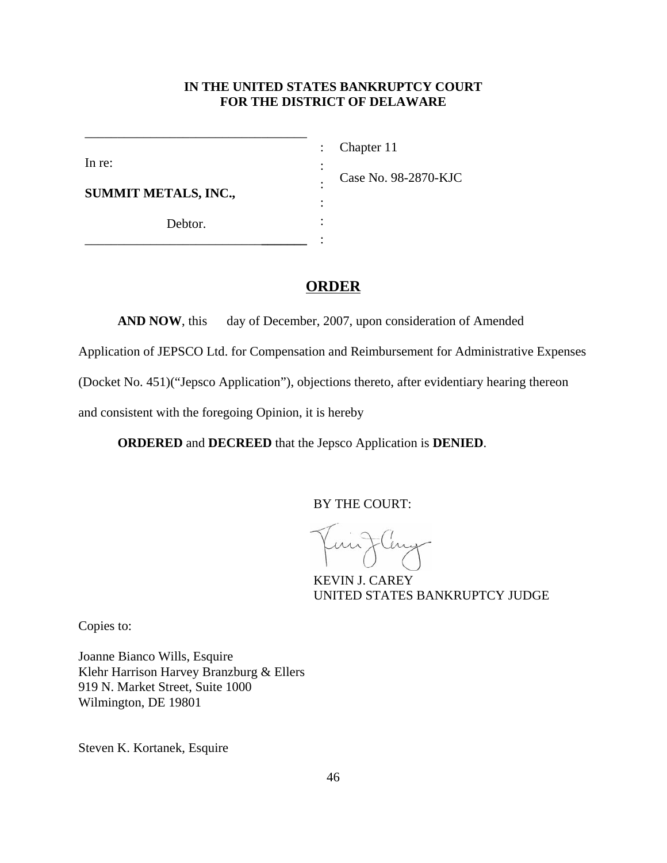## **IN THE UNITED STATES BANKRUPTCY COURT FOR THE DISTRICT OF DELAWARE**

: : : : : :

In re:

Chapter 11

**SUMMIT METALS, INC.,**

Debtor.

\_\_\_\_\_\_\_\_\_\_\_\_\_\_\_\_\_\_\_\_\_\_\_\_\_\_\_**\_\_\_\_\_\_\_**

\_\_\_\_\_\_\_\_\_\_\_\_\_\_\_\_\_\_\_\_\_\_\_\_\_\_\_\_\_\_\_\_\_\_

Case No. 98-2870-KJC

**ORDER**

**AND NOW**, this day of December, 2007, upon consideration of Amended

Application of JEPSCO Ltd. for Compensation and Reimbursement for Administrative Expenses

(Docket No. 451)("Jepsco Application"), objections thereto, after evidentiary hearing thereon

and consistent with the foregoing Opinion, it is hereby

**ORDERED** and **DECREED** that the Jepsco Application is **DENIED**.

BY THE COURT:

Flery

KEVIN J. CAREY UNITED STATES BANKRUPTCY JUDGE

Copies to:

Joanne Bianco Wills, Esquire Klehr Harrison Harvey Branzburg & Ellers 919 N. Market Street, Suite 1000 Wilmington, DE 19801

Steven K. Kortanek, Esquire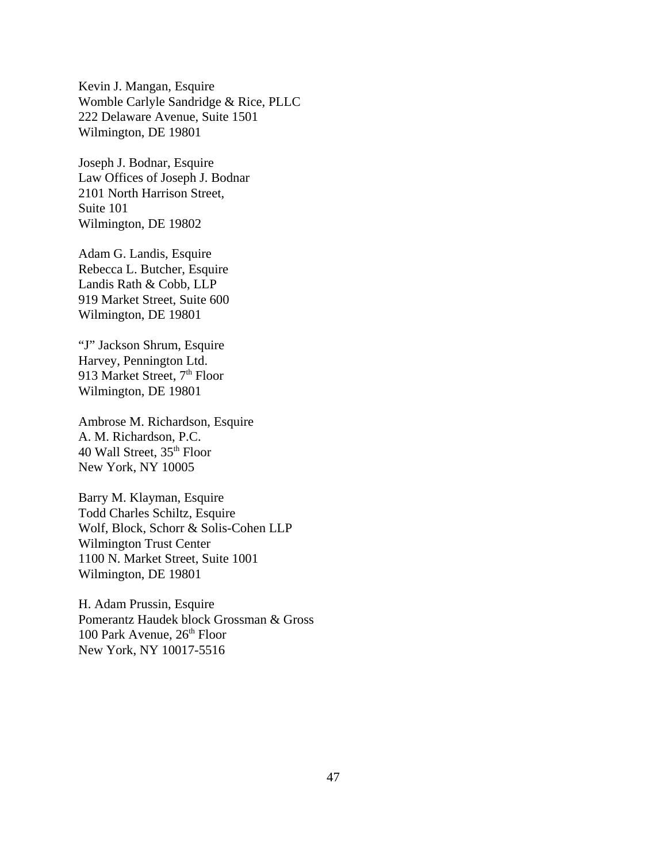Kevin J. Mangan, Esquire Womble Carlyle Sandridge & Rice, PLLC 222 Delaware Avenue, Suite 1501 Wilmington, DE 19801

Joseph J. Bodnar, Esquire Law Offices of Joseph J. Bodnar 2101 North Harrison Street, Suite 101 Wilmington, DE 19802

Adam G. Landis, Esquire Rebecca L. Butcher, Esquire Landis Rath & Cobb, LLP 919 Market Street, Suite 600 Wilmington, DE 19801

"J" Jackson Shrum, Esquire Harvey, Pennington Ltd. 913 Market Street, 7<sup>th</sup> Floor Wilmington, DE 19801

Ambrose M. Richardson, Esquire A. M. Richardson, P.C. 40 Wall Street, 35<sup>th</sup> Floor New York, NY 10005

Barry M. Klayman, Esquire Todd Charles Schiltz, Esquire Wolf, Block, Schorr & Solis-Cohen LLP Wilmington Trust Center 1100 N. Market Street, Suite 1001 Wilmington, DE 19801

H. Adam Prussin, Esquire Pomerantz Haudek block Grossman & Gross 100 Park Avenue,  $26<sup>th</sup>$  Floor New York, NY 10017-5516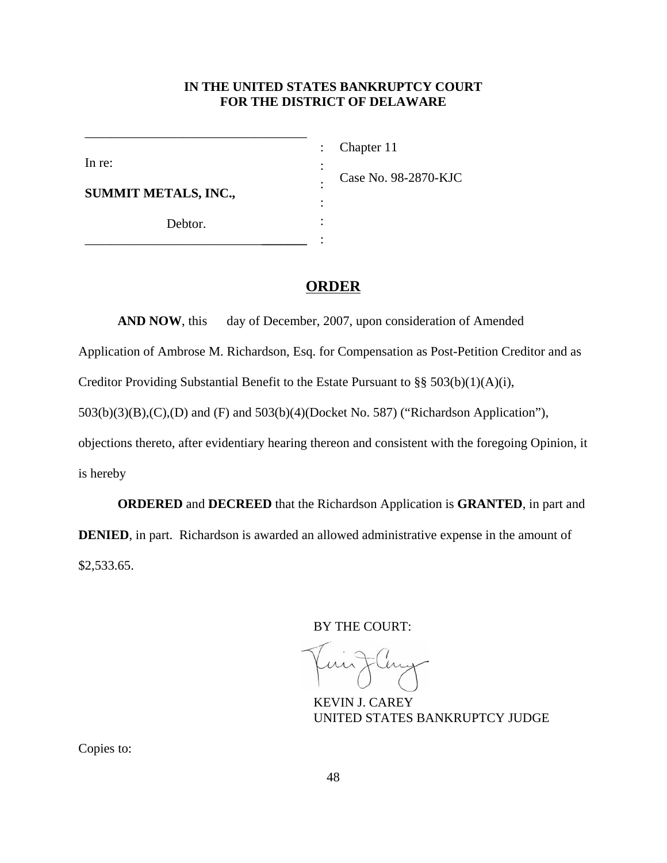## **IN THE UNITED STATES BANKRUPTCY COURT FOR THE DISTRICT OF DELAWARE**

: : : : : :

In re:

Chapter 11

**SUMMIT METALS, INC.,**

Debtor.

\_\_\_\_\_\_\_\_\_\_\_\_\_\_\_\_\_\_\_\_\_\_\_\_\_\_\_**\_\_\_\_\_\_\_**

\_\_\_\_\_\_\_\_\_\_\_\_\_\_\_\_\_\_\_\_\_\_\_\_\_\_\_\_\_\_\_\_\_\_

Case No. 98-2870-KJC

## **ORDER**

**AND NOW**, this day of December, 2007, upon consideration of Amended

Application of Ambrose M. Richardson, Esq. for Compensation as Post-Petition Creditor and as

Creditor Providing Substantial Benefit to the Estate Pursuant to §§ 503(b)(1)(A)(i),

503(b)(3)(B),(C),(D) and (F) and 503(b)(4)(Docket No. 587) ("Richardson Application"),

objections thereto, after evidentiary hearing thereon and consistent with the foregoing Opinion, it is hereby

**ORDERED** and **DECREED** that the Richardson Application is **GRANTED**, in part and **DENIED**, in part. Richardson is awarded an allowed administrative expense in the amount of \$2,533.65.

BY THE COURT:

KEVIN J. CAREY UNITED STATES BANKRUPTCY JUDGE

Copies to: